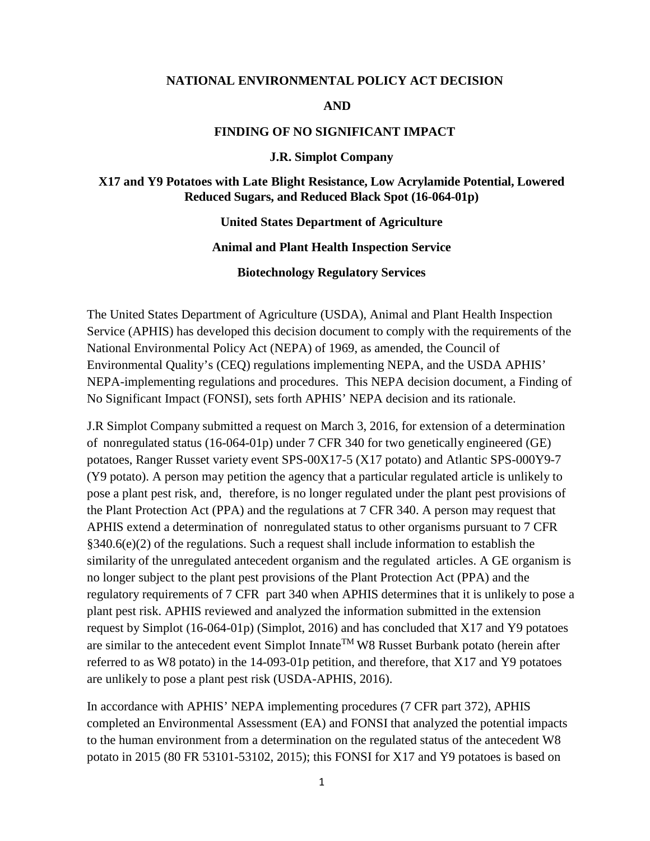#### **NATIONAL ENVIRONMENTAL POLICY ACT DECISION**

#### **AND**

#### **FINDING OF NO SIGNIFICANT IMPACT**

#### **J.R. Simplot Company**

#### **X17 and Y9 Potatoes with Late Blight Resistance, Low Acrylamide Potential, Lowered Reduced Sugars, and Reduced Black Spot (16-064-01p)**

#### **United States Department of Agriculture**

#### **Animal and Plant Health Inspection Service**

#### **Biotechnology Regulatory Services**

The United States Department of Agriculture (USDA), Animal and Plant Health Inspection Service (APHIS) has developed this decision document to comply with the requirements of the National Environmental Policy Act (NEPA) of 1969, as amended, the Council of Environmental Quality's (CEQ) regulations implementing NEPA, and the USDA APHIS' NEPA-implementing regulations and procedures. This NEPA decision document, a Finding of No Significant Impact (FONSI), sets forth APHIS' NEPA decision and its rationale.

J.R Simplot Company submitted a request on March 3, 2016, for extension of a determination of nonregulated status (16-064-01p) under 7 CFR 340 for two genetically engineered (GE) potatoes, Ranger Russet variety event SPS-00X17-5 (X17 potato) and Atlantic SPS-000Y9-7 (Y9 potato). A person may petition the agency that a particular regulated article is unlikely to pose a plant pest risk, and, therefore, is no longer regulated under the plant pest provisions of the Plant Protection Act (PPA) and the regulations at 7 CFR 340. A person may request that APHIS extend a determination of nonregulated status to other organisms pursuant to 7 CFR  $§340.6(e)(2)$  of the regulations. Such a request shall include information to establish the similarity of the unregulated antecedent organism and the regulated articles. A GE organism is no longer subject to the plant pest provisions of the Plant Protection Act (PPA) and the regulatory requirements of 7 CFR part 340 when APHIS determines that it is unlikely to pose a plant pest risk. APHIS reviewed and analyzed the information submitted in the extension request by Simplot (16-064-01p) [\(Simplot, 2016\)](#page-24-0) and has concluded that X17 and Y9 potatoes are similar to the antecedent event Simplot Innate<sup>TM</sup> W8 Russet Burbank potato (herein after referred to as W8 potato) in the 14-093-01p petition, and therefore, that X17 and Y9 potatoes are unlikely to pose a plant pest risk [\(USDA-APHIS, 2016\)](#page-26-0).

In accordance with APHIS' NEPA implementing procedures (7 CFR part 372), APHIS completed an Environmental Assessment (EA) and FONSI that analyzed the potential impacts to the human environment from a determination on the regulated status of the antecedent W8 potato in  $2015$  (80 FR 53101-53102, 2015); this FONSI for X17 and Y9 potatoes is based on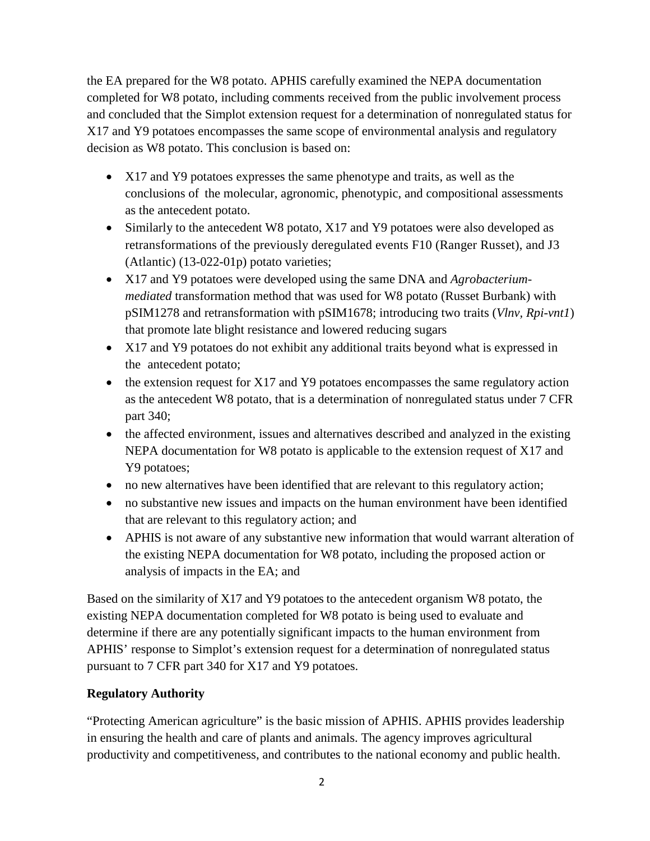the EA prepared for the W8 potato. APHIS carefully examined the NEPA documentation completed for W8 potato, including comments received from the public involvement process and concluded that the Simplot extension request for a determination of nonregulated status for X17 and Y9 potatoes encompasses the same scope of environmental analysis and regulatory decision as W8 potato. This conclusion is based on:

- X17 and Y9 potatoes expresses the same phenotype and traits, as well as the conclusions of the molecular, agronomic, phenotypic, and compositional assessments as the antecedent potato.
- Similarly to the antecedent W8 potato, X17 and Y9 potatoes were also developed as retransformations of the previously deregulated events F10 (Ranger Russet), and J3 (Atlantic) (13-022-01p) potato varieties;
- X17 and Y9 potatoes were developed using the same DNA and *Agrobacteriummediated* transformation method that was used for W8 potato (Russet Burbank) with pSIM1278 and retransformation with pSIM1678; introducing two traits (*Vlnv, Rpi-vnt1*) that promote late blight resistance and lowered reducing sugars
- X17 and Y9 potatoes do not exhibit any additional traits beyond what is expressed in the antecedent potato;
- the extension request for X17 and Y9 potatoes encompasses the same regulatory action as the antecedent W8 potato, that is a determination of nonregulated status under 7 CFR part 340;
- the affected environment, issues and alternatives described and analyzed in the existing NEPA documentation for W8 potato is applicable to the extension request of X17 and Y9 potatoes;
- no new alternatives have been identified that are relevant to this regulatory action;
- no substantive new issues and impacts on the human environment have been identified that are relevant to this regulatory action; and
- APHIS is not aware of any substantive new information that would warrant alteration of the existing NEPA documentation for W8 potato, including the proposed action or analysis of impacts in the EA; and

Based on the similarity of X17 and Y9 potatoes to the antecedent organism W8 potato, the existing NEPA documentation completed for W8 potato is being used to evaluate and determine if there are any potentially significant impacts to the human environment from APHIS' response to Simplot's extension request for a determination of nonregulated status pursuant to 7 CFR part 340 for X17 and Y9 potatoes.

# **Regulatory Authority**

"Protecting American agriculture" is the basic mission of APHIS. APHIS provides leadership in ensuring the health and care of plants and animals. The agency improves agricultural productivity and competitiveness, and contributes to the national economy and public health.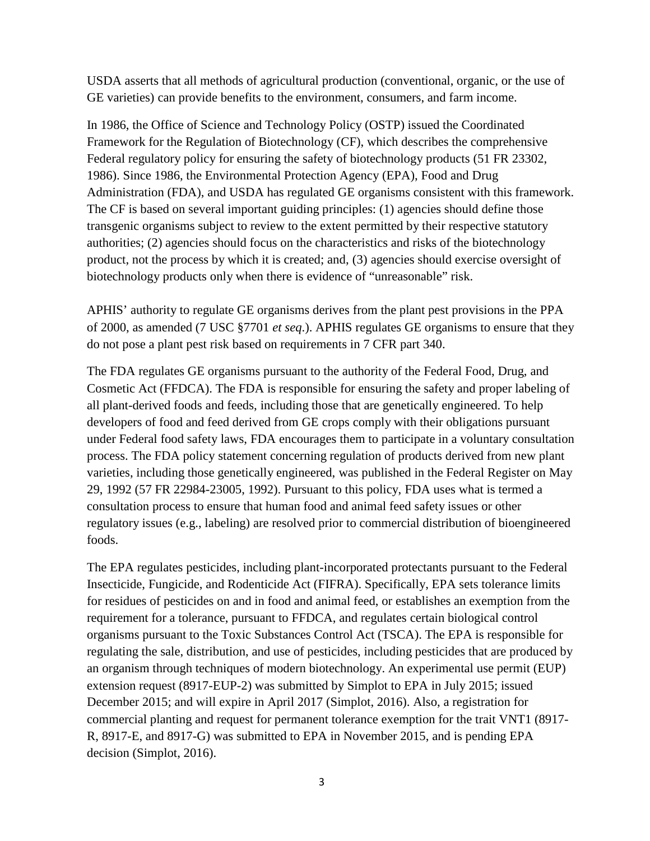USDA asserts that all methods of agricultural production (conventional, organic, or the use of GE varieties) can provide benefits to the environment, consumers, and farm income.

In 1986, the Office of Science and Technology Policy (OSTP) issued the Coordinated Framework for the Regulation of Biotechnology (CF), which describes the comprehensive Federal regulatory policy for ensuring the safety of biotechnology products (51 FR 23302, [1986\)](#page--1-0). Since 1986, the Environmental Protection Agency (EPA), Food and Drug Administration (FDA), and USDA has regulated GE organisms consistent with this framework. The CF is based on several important guiding principles: (1) agencies should define those transgenic organisms subject to review to the extent permitted by their respective statutory authorities; (2) agencies should focus on the characteristics and risks of the biotechnology product, not the process by which it is created; and, (3) agencies should exercise oversight of biotechnology products only when there is evidence of "unreasonable" risk.

APHIS' authority to regulate GE organisms derives from the plant pest provisions in the PPA of 2000, as amended (7 USC §7701 *et seq*.). APHIS regulates GE organisms to ensure that they do not pose a plant pest risk based on requirements in 7 CFR part 340.

The FDA regulates GE organisms pursuant to the authority of the Federal Food, Drug, and Cosmetic Act (FFDCA). The FDA is responsible for ensuring the safety and proper labeling of all plant-derived foods and feeds, including those that are genetically engineered. To help developers of food and feed derived from GE crops comply with their obligations pursuant under Federal food safety laws, FDA encourages them to participate in a voluntary consultation process. The FDA policy statement concerning regulation of products derived from new plant varieties, including those genetically engineered, was published in the Federal Register on May 29, 1992 (57 FR 22984-23005, 1992). Pursuant to this policy, FDA uses what is termed a consultation process to ensure that human food and animal feed safety issues or other regulatory issues (e.g., labeling) are resolved prior to commercial distribution of bioengineered foods.

The EPA regulates pesticides, including plant-incorporated protectants pursuant to the Federal Insecticide, Fungicide, and Rodenticide Act (FIFRA). Specifically, EPA sets tolerance limits for residues of pesticides on and in food and animal feed, or establishes an exemption from the requirement for a tolerance, pursuant to FFDCA, and regulates certain biological control organisms pursuant to the Toxic Substances Control Act (TSCA). The EPA is responsible for regulating the sale, distribution, and use of pesticides, including pesticides that are produced by an organism through techniques of modern biotechnology. An experimental use permit (EUP) extension request (8917-EUP-2) was submitted by Simplot to EPA in July 2015; issued December 2015; and will expire in April 2017 [\(Simplot, 2016\)](#page-24-0). Also, a registration for commercial planting and request for permanent tolerance exemption for the trait VNT1 (8917- R, 8917-E, and 8917-G) was submitted to EPA in November 2015, and is pending EPA decision [\(Simplot, 2016\)](#page-24-0).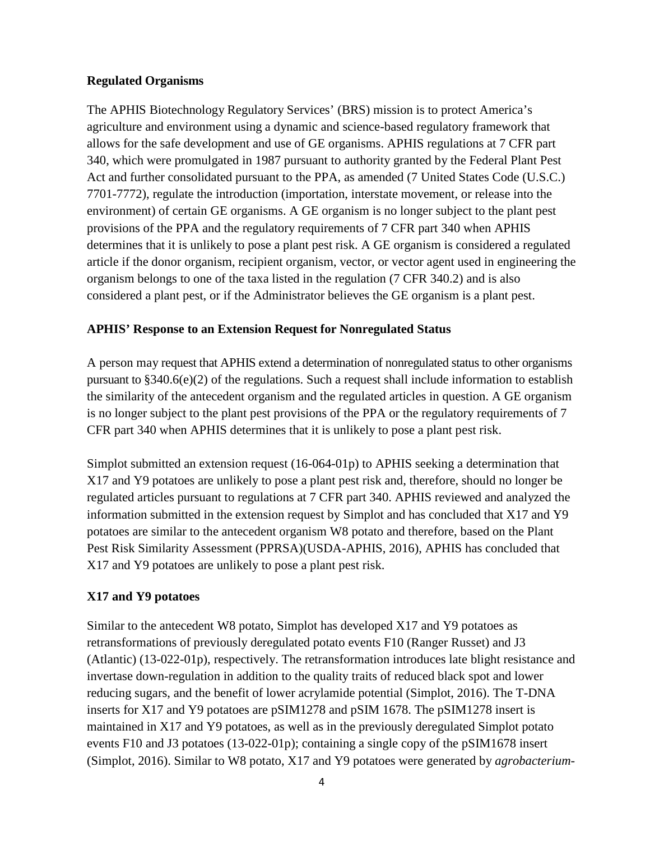#### **Regulated Organisms**

The APHIS Biotechnology Regulatory Services' (BRS) mission is to protect America's agriculture and environment using a dynamic and science-based regulatory framework that allows for the safe development and use of GE organisms. APHIS regulations at 7 CFR part 340, which were promulgated in 1987 pursuant to authority granted by the Federal Plant Pest Act and further consolidated pursuant to the PPA, as amended (7 United States Code (U.S.C.) 7701-7772), regulate the introduction (importation, interstate movement, or release into the environment) of certain GE organisms. A GE organism is no longer subject to the plant pest provisions of the PPA and the regulatory requirements of 7 CFR part 340 when APHIS determines that it is unlikely to pose a plant pest risk. A GE organism is considered a regulated article if the donor organism, recipient organism, vector, or vector agent used in engineering the organism belongs to one of the taxa listed in the regulation (7 CFR 340.2) and is also considered a plant pest, or if the Administrator believes the GE organism is a plant pest.

## **APHIS' Response to an Extension Request for Nonregulated Status**

A person may request that APHIS extend a determination of nonregulated status to other organisms pursuant to §340.6(e)(2) of the regulations. Such a request shall include information to establish the similarity of the antecedent organism and the regulated articles in question. A GE organism is no longer subject to the plant pest provisions of the PPA or the regulatory requirements of 7 CFR part 340 when APHIS determines that it is unlikely to pose a plant pest risk.

Simplot submitted an extension request (16-064-01p) to APHIS seeking a determination that X17 and Y9 potatoes are unlikely to pose a plant pest risk and, therefore, should no longer be regulated articles pursuant to regulations at 7 CFR part 340. APHIS reviewed and analyzed the information submitted in the extension request by Simplot and has concluded that X17 and Y9 potatoes are similar to the antecedent organism W8 potato and therefore, based on the Plant Pest Risk Similarity Assessment (PPRSA)[\(USDA-APHIS, 2016\)](#page-26-0), APHIS has concluded that X17 and Y9 potatoes are unlikely to pose a plant pest risk.

# **X17 and Y9 potatoes**

Similar to the antecedent W8 potato, Simplot has developed X17 and Y9 potatoes as retransformations of previously deregulated potato events F10 (Ranger Russet) and J3 (Atlantic) (13-022-01p), respectively. The retransformation introduces late blight resistance and invertase down-regulation in addition to the quality traits of reduced black spot and lower reducing sugars, and the benefit of lower acrylamide potential [\(Simplot, 2016\)](#page-24-0). The T-DNA inserts for X17 and Y9 potatoes are pSIM1278 and pSIM 1678. The pSIM1278 insert is maintained in X17 and Y9 potatoes, as well as in the previously deregulated Simplot potato events F10 and J3 potatoes (13-022-01p); containing a single copy of the pSIM1678 insert [\(Simplot, 2016\)](#page-24-0). Similar to W8 potato, X17 and Y9 potatoes were generated by *agrobacterium-*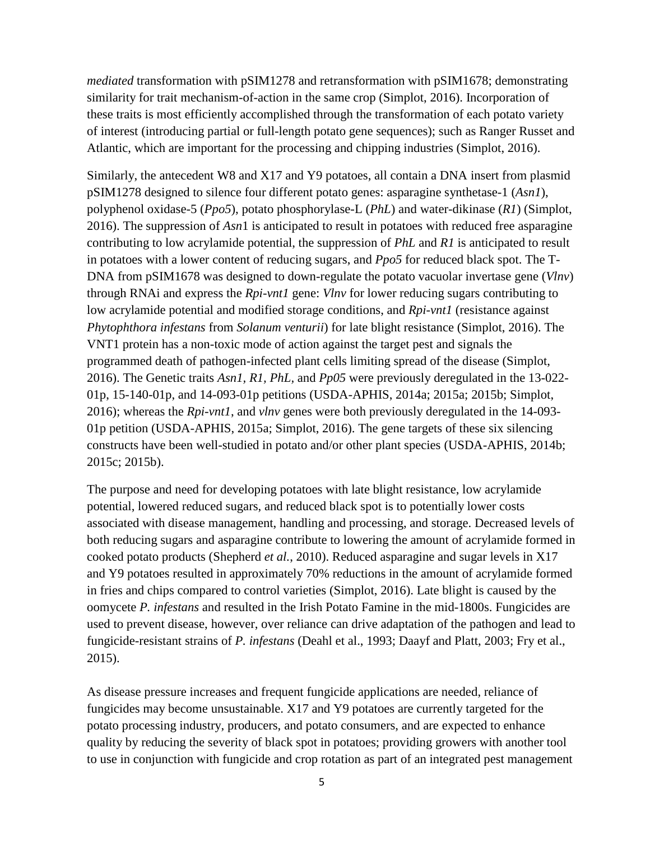*mediated* transformation with pSIM1278 and retransformation with pSIM1678; demonstrating similarity for trait mechanism-of-action in the same crop [\(Simplot, 2016\)](#page-24-0). Incorporation of these traits is most efficiently accomplished through the transformation of each potato variety of interest (introducing partial or full-length potato gene sequences); such as Ranger Russet and Atlantic, which are important for the processing and chipping industries [\(Simplot, 2016\)](#page-24-0).

Similarly, the antecedent W8 and X17 and Y9 potatoes, all contain a DNA insert from plasmid pSIM1278 designed to silence four different potato genes: asparagine synthetase-1 (*Asn1*), polyphenol oxidase-5 (*Ppo5*), potato phosphorylase-L (*PhL*) and water-dikinase (*R1*) [\(Simplot,](#page-24-0)  [2016\)](#page-24-0). The suppression of *Asn*1 is anticipated to result in potatoes with reduced free asparagine contributing to low acrylamide potential, the suppression of *PhL* and *R1* is anticipated to result in potatoes with a lower content of reducing sugars, and *Ppo5* for reduced black spot. The T-DNA from pSIM1678 was designed to down-regulate the potato vacuolar invertase gene (*Vlnv*) through RNAi and express the *Rpi-vnt1* gene: *Vlnv* for lower reducing sugars contributing to low acrylamide potential and modified storage conditions, and *Rpi-vnt1* (resistance against *Phytophthora infestans* from *Solanum venturii*) for late blight resistance [\(Simplot, 2016\)](#page-24-0). The VNT1 protein has a non-toxic mode of action against the target pest and signals the programmed death of pathogen-infected plant cells limiting spread of the disease [\(Simplot,](#page-24-0)  [2016\)](#page-24-0). The Genetic traits *Asn1, R1, PhL,* and *Pp05* were previously deregulated in the 13-022- 01p, 15-140-01p, and 14-093-01p petitions (USDA-APHIS, 2014a; [2015a;](#page-25-0) [2015b;](#page-25-1) [Simplot,](#page-24-0)  [2016\)](#page-24-0); whereas the *Rpi-vnt1*, and *vlnv* genes were both previously deregulated in the 14-093- 01p petition [\(USDA-APHIS, 2015a;](#page-25-0) [Simplot, 2016\)](#page-24-0). The gene targets of these six silencing constructs have been well-studied in potato and/or other plant species [\(USDA-APHIS, 2014b;](#page-25-2) [2015c;](#page-25-3) [2015b\)](#page-25-1).

The purpose and need for developing potatoes with late blight resistance, low acrylamide potential, lowered reduced sugars, and reduced black spot is to potentially lower costs associated with disease management, handling and processing, and storage. Decreased levels of both reducing sugars and asparagine contribute to lowering the amount of acrylamide formed in cooked potato products [\(Shepherd](#page-24-2) *et al.*, 2010). Reduced asparagine and sugar levels in X17 and Y9 potatoes resulted in approximately 70% reductions in the amount of acrylamide formed in fries and chips compared to control varieties [\(Simplot, 2016\)](#page-24-0). Late blight is caused by the oomycete *P. infestans* and resulted in the Irish Potato Famine in the mid-1800s. Fungicides are used to prevent disease, however, over reliance can drive adaptation of the pathogen and lead to fungicide-resistant strains of *P. infestans* [\(Deahl et al., 1993;](#page-24-3) [Daayf and Platt, 2003;](#page-24-4) [Fry et al.,](#page-24-5)  [2015\)](#page-24-5).

As disease pressure increases and frequent fungicide applications are needed, reliance of fungicides may become unsustainable. X17 and Y9 potatoes are currently targeted for the potato processing industry, producers, and potato consumers, and are expected to enhance quality by reducing the severity of black spot in potatoes; providing growers with another tool to use in conjunction with fungicide and crop rotation as part of an integrated pest management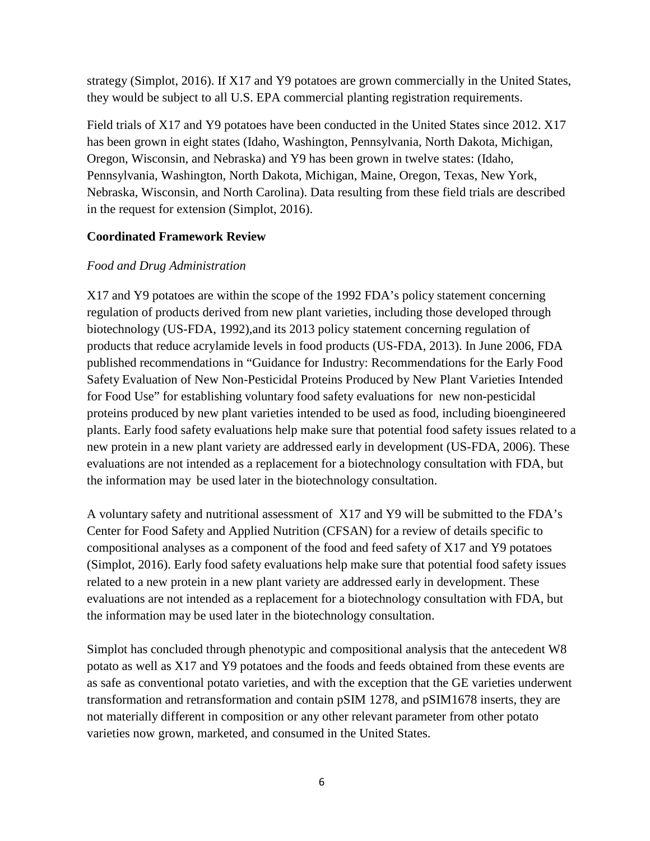strategy [\(Simplot, 2016\)](#page-24-0). If X17 and Y9 potatoes are grown commercially in the United States, they would be subject to all U.S. EPA commercial planting registration requirements.

Field trials of X17 and Y9 potatoes have been conducted in the United States since 2012. X17 has been grown in eight states (Idaho, Washington, Pennsylvania, North Dakota, Michigan, Oregon, Wisconsin, and Nebraska) and Y9 has been grown in twelve states: (Idaho, Pennsylvania, Washington, North Dakota, Michigan, Maine, Oregon, Texas, New York, Nebraska, Wisconsin, and North Carolina). Data resulting from these field trials are described in the request for extension [\(Simplot, 2016\)](#page-24-0).

### **Coordinated Framework Review**

## *Food and Drug Administration*

X17 and Y9 potatoes are within the scope of the 1992 FDA's policy statement concerning regulation of products derived from new plant varieties, including those developed through biotechnology [\(US-FDA, 1992\)](#page-25-4),and its 2013 policy statement concerning regulation of products that reduce acrylamide levels in food products [\(US-FDA, 2013\)](#page-25-5). In June 2006, FDA published recommendations in "Guidance for Industry: Recommendations for the Early Food Safety Evaluation of New Non-Pesticidal Proteins Produced by New Plant Varieties Intended for Food Use" for establishing voluntary food safety evaluations for new non-pesticidal proteins produced by new plant varieties intended to be used as food, including bioengineered plants. Early food safety evaluations help make sure that potential food safety issues related to a new protein in a new plant variety are addressed early in development [\(US-FDA, 2006\)](#page-25-6). These evaluations are not intended as a replacement for a biotechnology consultation with FDA, but the information may be used later in the biotechnology consultation.

A voluntary safety and nutritional assessment of X17 and Y9 will be submitted to the FDA's Center for Food Safety and Applied Nutrition (CFSAN) for a review of details specific to compositional analyses as a component of the food and feed safety of X17 and Y9 potatoes [\(Simplot, 2016\)](#page-24-0). Early food safety evaluations help make sure that potential food safety issues related to a new protein in a new plant variety are addressed early in development. These evaluations are not intended as a replacement for a biotechnology consultation with FDA, but the information may be used later in the biotechnology consultation.

Simplot has concluded through phenotypic and compositional analysis that the antecedent W8 potato as well as X17 and Y9 potatoes and the foods and feeds obtained from these events are as safe as conventional potato varieties, and with the exception that the GE varieties underwent transformation and retransformation and contain pSIM 1278, and pSIM1678 inserts, they are not materially different in composition or any other relevant parameter from other potato varieties now grown, marketed, and consumed in the United States.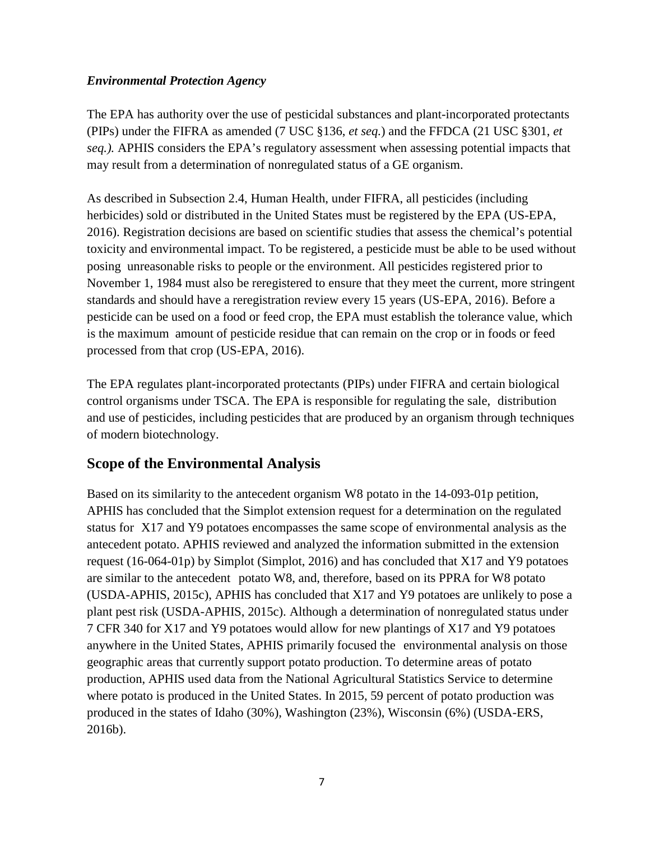## *Environmental Protection Agency*

The EPA has authority over the use of pesticidal substances and plant-incorporated protectants (PIPs) under the FIFRA as amended (7 USC §136, *et seq.*) and the FFDCA (21 USC §301, *et seq.).* APHIS considers the EPA's regulatory assessment when assessing potential impacts that may result from a determination of nonregulated status of a GE organism.

As described in Subsection 2.4, Human Health, under FIFRA, all pesticides (including herbicides) sold or distributed in the United States must be registered by the EPA [\(US-EPA,](#page-25-7)  [2016\)](#page-25-7). Registration decisions are based on scientific studies that assess the chemical's potential toxicity and environmental impact. To be registered, a pesticide must be able to be used without posing unreasonable risks to people or the environment. All pesticides registered prior to November 1, 1984 must also be reregistered to ensure that they meet the current, more stringent standards and should have a reregistration review every 15 years [\(US-EPA, 2016\)](#page-25-7). Before a pesticide can be used on a food or feed crop, the EPA must establish the tolerance value, which is the maximum amount of pesticide residue that can remain on the crop or in foods or feed processed from that crop [\(US-EPA, 2016\)](#page-25-7).

The EPA regulates plant-incorporated protectants (PIPs) under FIFRA and certain biological control organisms under TSCA. The EPA is responsible for regulating the sale, distribution and use of pesticides, including pesticides that are produced by an organism through techniques of modern biotechnology.

# **Scope of the Environmental Analysis**

Based on its similarity to the antecedent organism W8 potato in the 14-093-01p petition, APHIS has concluded that the Simplot extension request for a determination on the regulated status for X17 and Y9 potatoes encompasses the same scope of environmental analysis as the antecedent potato. APHIS reviewed and analyzed the information submitted in the extension request (16-064-01p) by Simplot [\(Simplot, 2016\)](#page-24-0) and has concluded that X17 and Y9 potatoes are similar to the antecedent potato W8, and, therefore, based on its PPRA for W8 potato [\(USDA-APHIS, 2015c\)](#page-25-3), APHIS has concluded that X17 and Y9 potatoes are unlikely to pose a plant pest risk [\(USDA-APHIS, 2015c\)](#page-25-3). Although a determination of nonregulated status under 7 CFR 340 for X17 and Y9 potatoes would allow for new plantings of X17 and Y9 potatoes anywhere in the United States, APHIS primarily focused the environmental analysis on those geographic areas that currently support potato production. To determine areas of potato production, APHIS used data from the National Agricultural Statistics Service to determine where potato is produced in the United States. In 2015, 59 percent of potato production was produced in the states of Idaho (30%), Washington (23%), Wisconsin (6%) [\(USDA-ERS,](#page-26-1)  [2016b\)](#page-26-1).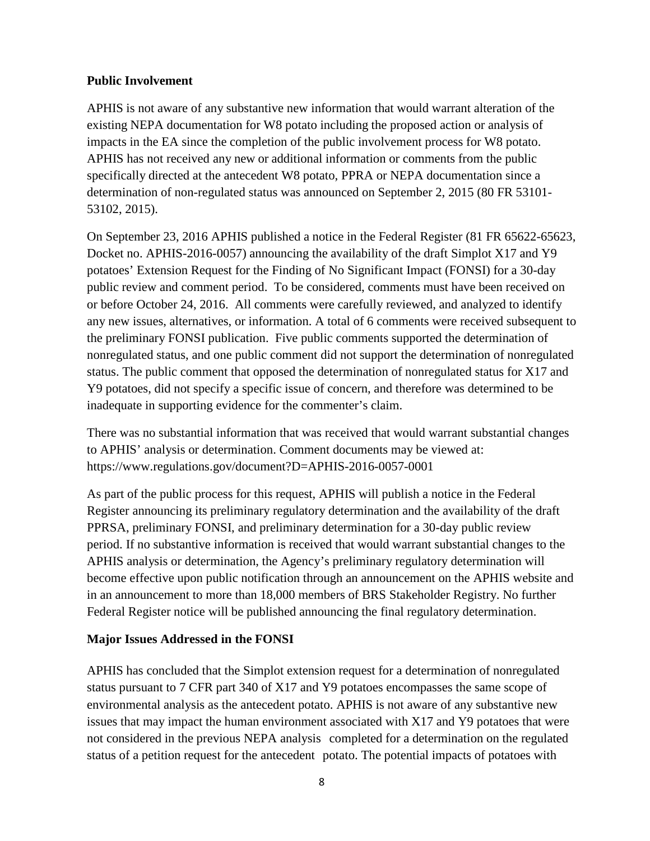### **Public Involvement**

APHIS is not aware of any substantive new information that would warrant alteration of the existing NEPA documentation for W8 potato including the proposed action or analysis of impacts in the EA since the completion of the public involvement process for W8 potato. APHIS has not received any new or additional information or comments from the public specifically directed at the antecedent W8 potato, PPRA or NEPA documentation since a determination of non-regulated status was announced on September 2, 2015 (80 FR 53101-[53102, 2015\)](#page-24-1).

On September 23, 2016 APHIS published a notice in the Federal Register (81 FR 65622-65623, Docket no. APHIS-2016-0057) announcing the availability of the draft Simplot X17 and Y9 potatoes' Extension Request for the Finding of No Significant Impact (FONSI) for a 30-day public review and comment period. To be considered, comments must have been received on or before October 24, 2016. All comments were carefully reviewed, and analyzed to identify any new issues, alternatives, or information. A total of 6 comments were received subsequent to the preliminary FONSI publication. Five public comments supported the determination of nonregulated status, and one public comment did not support the determination of nonregulated status. The public comment that opposed the determination of nonregulated status for X17 and Y9 potatoes, did not specify a specific issue of concern, and therefore was determined to be inadequate in supporting evidence for the commenter's claim.

There was no substantial information that was received that would warrant substantial changes to APHIS' analysis or determination. Comment documents may be viewed at: https://www.regulations.gov/document?D=APHIS-2016-0057-0001

As part of the public process for this request, APHIS will publish a notice in the Federal Register announcing its preliminary regulatory determination and the availability of the draft PPRSA, preliminary FONSI, and preliminary determination for a 30-day public review period. If no substantive information is received that would warrant substantial changes to the APHIS analysis or determination, the Agency's preliminary regulatory determination will become effective upon public notification through an announcement on the APHIS website and in an announcement to more than 18,000 members of BRS Stakeholder Registry. No further Federal Register notice will be published announcing the final regulatory determination.

## **Major Issues Addressed in the FONSI**

APHIS has concluded that the Simplot extension request for a determination of nonregulated status pursuant to 7 CFR part 340 of X17 and Y9 potatoes encompasses the same scope of environmental analysis as the antecedent potato. APHIS is not aware of any substantive new issues that may impact the human environment associated with X17 and Y9 potatoes that were not considered in the previous NEPA analysis completed for a determination on the regulated status of a petition request for the antecedent potato. The potential impacts of potatoes with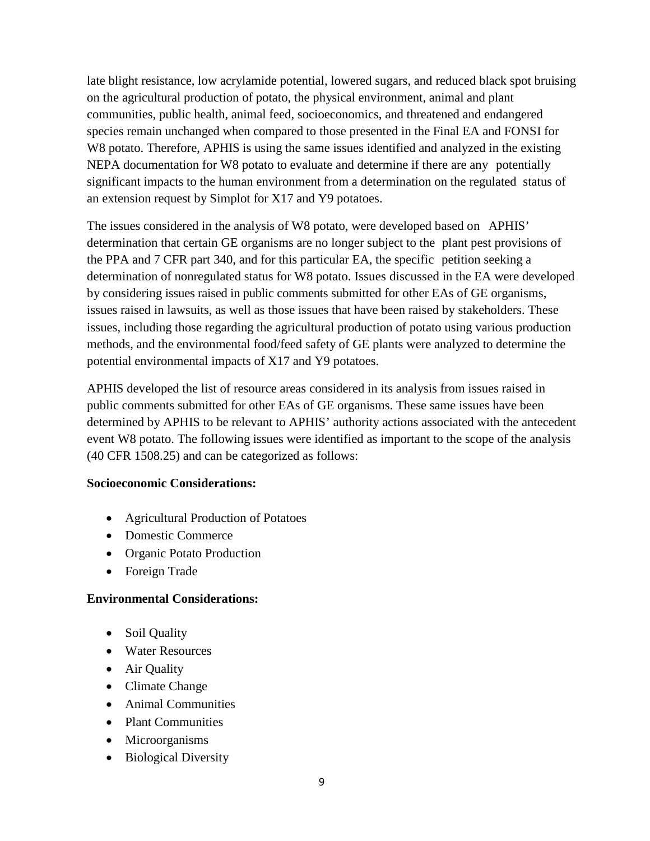late blight resistance, low acrylamide potential, lowered sugars, and reduced black spot bruising on the agricultural production of potato, the physical environment, animal and plant communities, public health, animal feed, socioeconomics, and threatened and endangered species remain unchanged when compared to those presented in the Final EA and FONSI for W8 potato. Therefore, APHIS is using the same issues identified and analyzed in the existing NEPA documentation for W8 potato to evaluate and determine if there are any potentially significant impacts to the human environment from a determination on the regulated status of an extension request by Simplot for X17 and Y9 potatoes.

The issues considered in the analysis of W8 potato, were developed based on APHIS' determination that certain GE organisms are no longer subject to the plant pest provisions of the PPA and 7 CFR part 340, and for this particular EA, the specific petition seeking a determination of nonregulated status for W8 potato. Issues discussed in the EA were developed by considering issues raised in public comments submitted for other EAs of GE organisms, issues raised in lawsuits, as well as those issues that have been raised by stakeholders. These issues, including those regarding the agricultural production of potato using various production methods, and the environmental food/feed safety of GE plants were analyzed to determine the potential environmental impacts of X17 and Y9 potatoes.

APHIS developed the list of resource areas considered in its analysis from issues raised in public comments submitted for other EAs of GE organisms. These same issues have been determined by APHIS to be relevant to APHIS' authority actions associated with the antecedent event W8 potato. The following issues were identified as important to the scope of the analysis (40 CFR 1508.25) and can be categorized as follows:

#### **Socioeconomic Considerations:**

- Agricultural Production of Potatoes
- Domestic Commerce
- Organic Potato Production
- Foreign Trade

#### **Environmental Considerations:**

- Soil Quality
- Water Resources
- Air Quality
- Climate Change
- Animal Communities
- Plant Communities
- Microorganisms
- Biological Diversity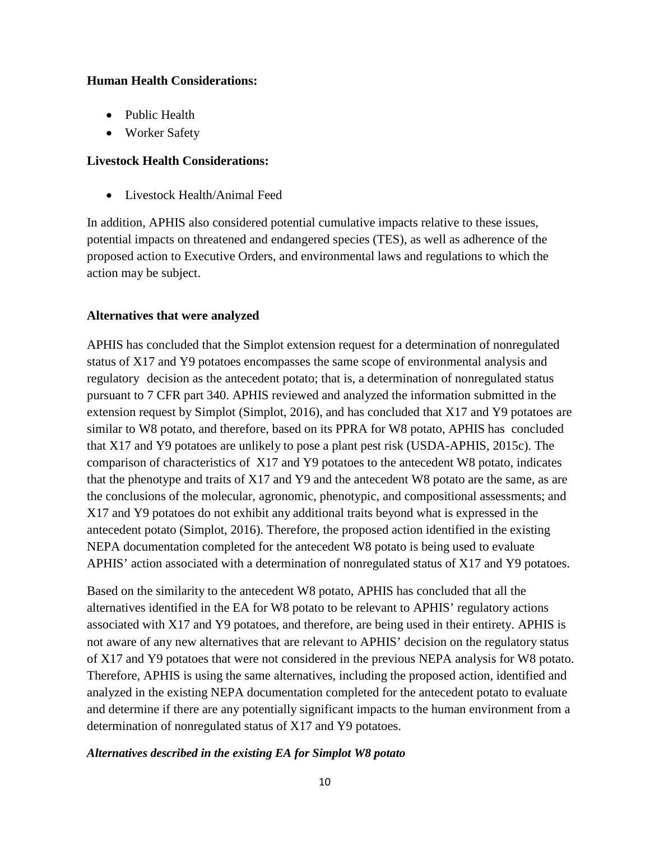#### **Human Health Considerations:**

- Public Health
- Worker Safety

### **Livestock Health Considerations:**

• Livestock Health/Animal Feed

In addition, APHIS also considered potential cumulative impacts relative to these issues, potential impacts on threatened and endangered species (TES), as well as adherence of the proposed action to Executive Orders, and environmental laws and regulations to which the action may be subject.

### **Alternatives that were analyzed**

APHIS has concluded that the Simplot extension request for a determination of nonregulated status of X17 and Y9 potatoes encompasses the same scope of environmental analysis and regulatory decision as the antecedent potato; that is, a determination of nonregulated status pursuant to 7 CFR part 340. APHIS reviewed and analyzed the information submitted in the extension request by Simplot [\(Simplot, 2016\)](#page-24-0), and has concluded that X17 and Y9 potatoes are similar to W8 potato, and therefore, based on its PPRA for W8 potato, APHIS has concluded that X17 and Y9 potatoes are unlikely to pose a plant pest risk [\(USDA-APHIS, 2015c\)](#page-25-3). The comparison of characteristics of X17 and Y9 potatoes to the antecedent W8 potato, indicates that the phenotype and traits of X17 and Y9 and the antecedent W8 potato are the same, as are the conclusions of the molecular, agronomic, phenotypic, and compositional assessments; and X17 and Y9 potatoes do not exhibit any additional traits beyond what is expressed in the antecedent potato [\(Simplot, 2016\)](#page-24-0). Therefore, the proposed action identified in the existing NEPA documentation completed for the antecedent W8 potato is being used to evaluate APHIS' action associated with a determination of nonregulated status of X17 and Y9 potatoes.

Based on the similarity to the antecedent W8 potato, APHIS has concluded that all the alternatives identified in the EA for W8 potato to be relevant to APHIS' regulatory actions associated with X17 and Y9 potatoes, and therefore, are being used in their entirety. APHIS is not aware of any new alternatives that are relevant to APHIS' decision on the regulatory status of X17 and Y9 potatoes that were not considered in the previous NEPA analysis for W8 potato. Therefore, APHIS is using the same alternatives, including the proposed action, identified and analyzed in the existing NEPA documentation completed for the antecedent potato to evaluate and determine if there are any potentially significant impacts to the human environment from a determination of nonregulated status of X17 and Y9 potatoes.

#### *Alternatives described in the existing EA for Simplot W8 potato*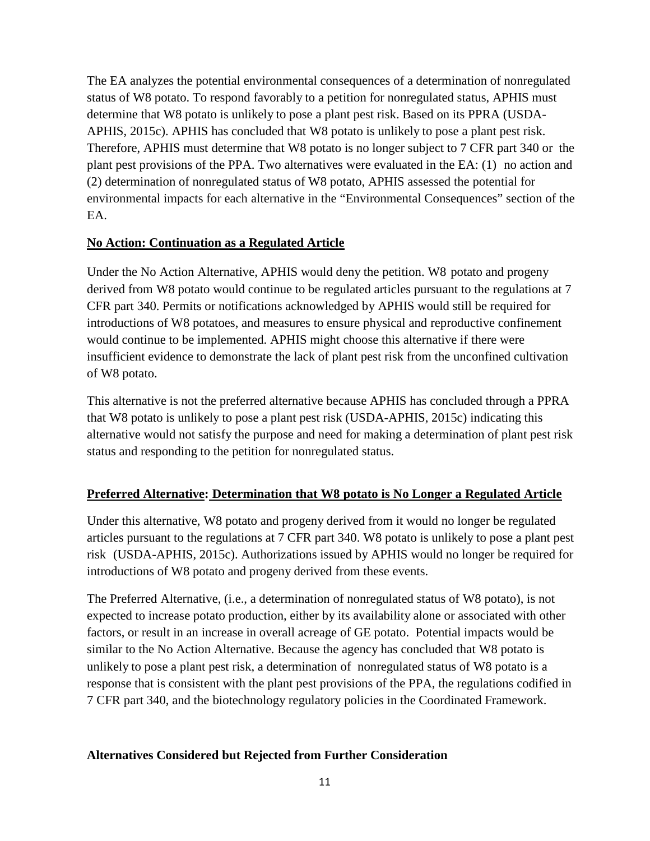The EA analyzes the potential environmental consequences of a determination of nonregulated status of W8 potato. To respond favorably to a petition for nonregulated status, APHIS must determine that W8 potato is unlikely to pose a plant pest risk. Based on its PPRA [\(USDA-](#page-25-3)[APHIS, 2015c\)](#page-25-3). APHIS has concluded that W8 potato is unlikely to pose a plant pest risk. Therefore, APHIS must determine that W8 potato is no longer subject to 7 CFR part 340 or the plant pest provisions of the PPA. Two alternatives were evaluated in the EA: (1) no action and (2) determination of nonregulated status of W8 potato, APHIS assessed the potential for environmental impacts for each alternative in the "Environmental Consequences" section of the EA.

## **No Action: Continuation as a Regulated Article**

Under the No Action Alternative, APHIS would deny the petition. W8 potato and progeny derived from W8 potato would continue to be regulated articles pursuant to the regulations at 7 CFR part 340. Permits or notifications acknowledged by APHIS would still be required for introductions of W8 potatoes, and measures to ensure physical and reproductive confinement would continue to be implemented. APHIS might choose this alternative if there were insufficient evidence to demonstrate the lack of plant pest risk from the unconfined cultivation of W8 potato.

This alternative is not the preferred alternative because APHIS has concluded through a PPRA that W8 potato is unlikely to pose a plant pest risk [\(USDA-APHIS, 2015c\)](#page-25-3) indicating this alternative would not satisfy the purpose and need for making a determination of plant pest risk status and responding to the petition for nonregulated status.

# **Preferred Alternative: Determination that W8 potato is No Longer a Regulated Article**

Under this alternative, W8 potato and progeny derived from it would no longer be regulated articles pursuant to the regulations at 7 CFR part 340. W8 potato is unlikely to pose a plant pest risk [\(USDA-APHIS, 2015c\)](#page-25-3). Authorizations issued by APHIS would no longer be required for introductions of W8 potato and progeny derived from these events.

The Preferred Alternative, (i.e., a determination of nonregulated status of W8 potato), is not expected to increase potato production, either by its availability alone or associated with other factors, or result in an increase in overall acreage of GE potato. Potential impacts would be similar to the No Action Alternative. Because the agency has concluded that W8 potato is unlikely to pose a plant pest risk, a determination of nonregulated status of W8 potato is a response that is consistent with the plant pest provisions of the PPA, the regulations codified in 7 CFR part 340, and the biotechnology regulatory policies in the Coordinated Framework.

## **Alternatives Considered but Rejected from Further Consideration**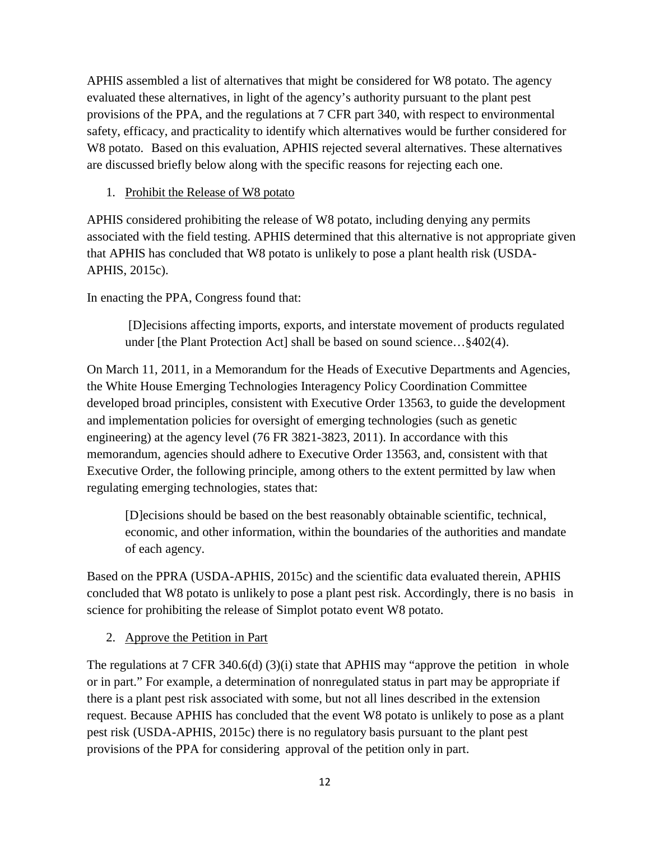APHIS assembled a list of alternatives that might be considered for W8 potato. The agency evaluated these alternatives, in light of the agency's authority pursuant to the plant pest provisions of the PPA, and the regulations at 7 CFR part 340, with respect to environmental safety, efficacy, and practicality to identify which alternatives would be further considered for W8 potato. Based on this evaluation, APHIS rejected several alternatives. These alternatives are discussed briefly below along with the specific reasons for rejecting each one.

## 1. Prohibit the Release of W8 potato

APHIS considered prohibiting the release of W8 potato, including denying any permits associated with the field testing. APHIS determined that this alternative is not appropriate given that APHIS has concluded that W8 potato is unlikely to pose a plant health risk [\(USDA-](#page-25-3)[APHIS, 2015c\)](#page-25-3).

In enacting the PPA, Congress found that:

[D]ecisions affecting imports, exports, and interstate movement of products regulated under [the Plant Protection Act] shall be based on sound science... §402(4).

On March 11, 2011, in a Memorandum for the Heads of Executive Departments and Agencies, the White House Emerging Technologies Interagency Policy Coordination Committee developed broad principles, consistent with Executive Order 13563, to guide the development and implementation policies for oversight of emerging technologies (such as genetic engineering) at the agency level (76 FR 3821-3823, 2011). In accordance with this memorandum, agencies should adhere to Executive Order 13563, and, consistent with that Executive Order, the following principle, among others to the extent permitted by law when regulating emerging technologies, states that:

[D]ecisions should be based on the best reasonably obtainable scientific, technical, economic, and other information, within the boundaries of the authorities and mandate of each agency.

Based on the PPRA [\(USDA-APHIS, 2015c\)](#page-25-3) and the scientific data evaluated therein, APHIS concluded that W8 potato is unlikely to pose a plant pest risk. Accordingly, there is no basis in science for prohibiting the release of Simplot potato event W8 potato.

## 2. Approve the Petition in Part

The regulations at 7 CFR 340.6(d) (3)(i) state that APHIS may "approve the petition in whole or in part." For example, a determination of nonregulated status in part may be appropriate if there is a plant pest risk associated with some, but not all lines described in the extension request. Because APHIS has concluded that the event W8 potato is unlikely to pose as a plant pest risk [\(USDA-APHIS, 2015c\)](#page-25-3) there is no regulatory basis pursuant to the plant pest provisions of the PPA for considering approval of the petition only in part.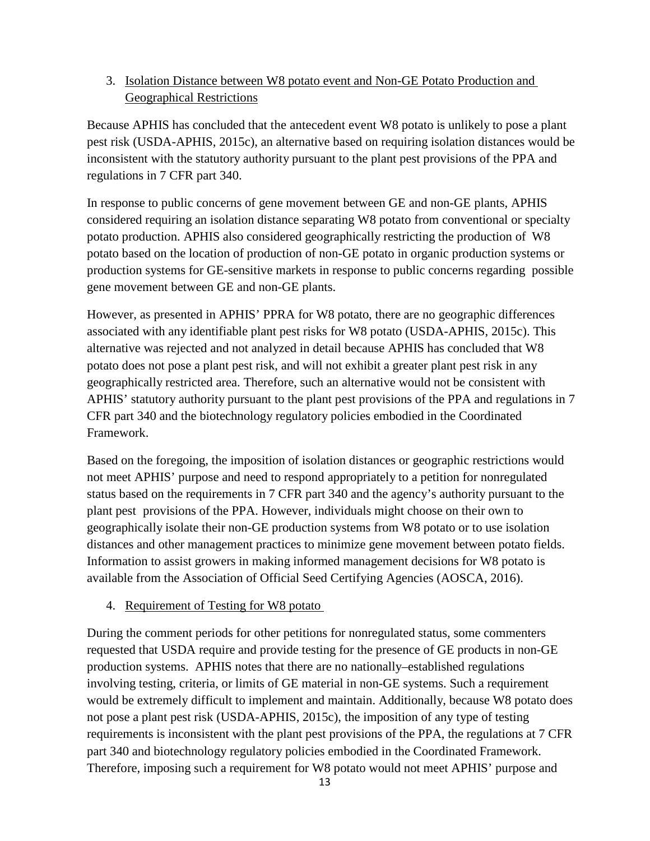## 3. Isolation Distance between W8 potato event and Non-GE Potato Production and Geographical Restrictions

Because APHIS has concluded that the antecedent event W8 potato is unlikely to pose a plant pest risk [\(USDA-APHIS, 2015c\)](#page-25-3), an alternative based on requiring isolation distances would be inconsistent with the statutory authority pursuant to the plant pest provisions of the PPA and regulations in 7 CFR part 340.

In response to public concerns of gene movement between GE and non-GE plants, APHIS considered requiring an isolation distance separating W8 potato from conventional or specialty potato production. APHIS also considered geographically restricting the production of W8 potato based on the location of production of non-GE potato in organic production systems or production systems for GE-sensitive markets in response to public concerns regarding possible gene movement between GE and non-GE plants.

However, as presented in APHIS' PPRA for W8 potato, there are no geographic differences associated with any identifiable plant pest risks for W8 potato [\(USDA-APHIS, 2015c\)](#page-25-3). This alternative was rejected and not analyzed in detail because APHIS has concluded that W8 potato does not pose a plant pest risk, and will not exhibit a greater plant pest risk in any geographically restricted area. Therefore, such an alternative would not be consistent with APHIS' statutory authority pursuant to the plant pest provisions of the PPA and regulations in 7 CFR part 340 and the biotechnology regulatory policies embodied in the Coordinated Framework.

Based on the foregoing, the imposition of isolation distances or geographic restrictions would not meet APHIS' purpose and need to respond appropriately to a petition for nonregulated status based on the requirements in 7 CFR part 340 and the agency's authority pursuant to the plant pest provisions of the PPA. However, individuals might choose on their own to geographically isolate their non-GE production systems from W8 potato or to use isolation distances and other management practices to minimize gene movement between potato fields. Information to assist growers in making informed management decisions for W8 potato is available from the Association of Official Seed Certifying Agencies [\(AOSCA, 2016\)](#page-24-7).

## 4. Requirement of Testing for W8 potato

During the comment periods for other petitions for nonregulated status, some commenters requested that USDA require and provide testing for the presence of GE products in non-GE production systems. APHIS notes that there are no nationally–established regulations involving testing, criteria, or limits of GE material in non-GE systems. Such a requirement would be extremely difficult to implement and maintain. Additionally, because W8 potato does not pose a plant pest risk [\(USDA-APHIS, 2015c\)](#page-25-3), the imposition of any type of testing requirements is inconsistent with the plant pest provisions of the PPA, the regulations at 7 CFR part 340 and biotechnology regulatory policies embodied in the Coordinated Framework. Therefore, imposing such a requirement for W8 potato would not meet APHIS' purpose and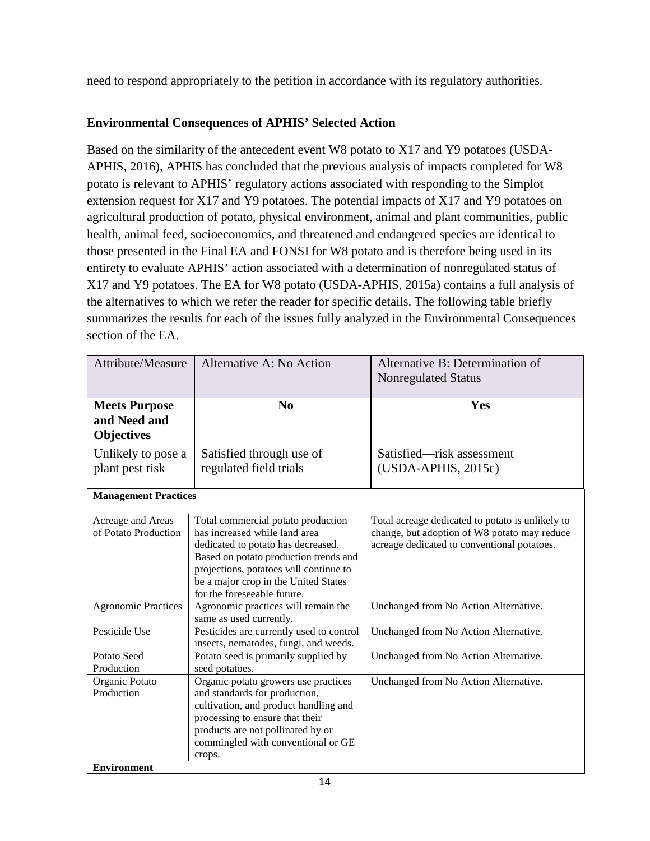need to respond appropriately to the petition in accordance with its regulatory authorities.

# **Environmental Consequences of APHIS' Selected Action**

Based on the similarity of the antecedent event W8 potato to X17 and Y9 potatoes [\(USDA-](#page-26-0)[APHIS, 2016\)](#page-26-0), APHIS has concluded that the previous analysis of impacts completed for W8 potato is relevant to APHIS' regulatory actions associated with responding to the Simplot extension request for X17 and Y9 potatoes. The potential impacts of X17 and Y9 potatoes on agricultural production of potato, physical environment, animal and plant communities, public health, animal feed, socioeconomics, and threatened and endangered species are identical to those presented in the Final EA and FONSI for W8 potato and is therefore being used in its entirety to evaluate APHIS' action associated with a determination of nonregulated status of X17 and Y9 potatoes. The EA for W8 potato [\(USDA-APHIS, 2015a\)](#page-25-0) contains a full analysis of the alternatives to which we refer the reader for specific details. The following table briefly summarizes the results for each of the issues fully analyzed in the Environmental Consequences section of the EA.

| <b>Attribute/Measure</b>                                  | Alternative A: No Action                                                                                                                                                                                                                                            | Alternative B: Determination of<br><b>Nonregulated Status</b>                                                                                   |  |  |
|-----------------------------------------------------------|---------------------------------------------------------------------------------------------------------------------------------------------------------------------------------------------------------------------------------------------------------------------|-------------------------------------------------------------------------------------------------------------------------------------------------|--|--|
| <b>Meets Purpose</b><br>and Need and<br><b>Objectives</b> | N <sub>0</sub>                                                                                                                                                                                                                                                      | Yes                                                                                                                                             |  |  |
| Unlikely to pose a                                        | Satisfied through use of                                                                                                                                                                                                                                            | Satisfied—risk assessment                                                                                                                       |  |  |
| plant pest risk                                           | regulated field trials                                                                                                                                                                                                                                              | $(USDA-APHIS, 2015c)$                                                                                                                           |  |  |
| <b>Management Practices</b>                               |                                                                                                                                                                                                                                                                     |                                                                                                                                                 |  |  |
| Acreage and Areas<br>of Potato Production                 | Total commercial potato production<br>has increased while land area<br>dedicated to potato has decreased.<br>Based on potato production trends and<br>projections, potatoes will continue to<br>be a major crop in the United States<br>for the foreseeable future. | Total acreage dedicated to potato is unlikely to<br>change, but adoption of W8 potato may reduce<br>acreage dedicated to conventional potatoes. |  |  |
| <b>Agronomic Practices</b>                                | Agronomic practices will remain the<br>same as used currently.                                                                                                                                                                                                      | Unchanged from No Action Alternative.                                                                                                           |  |  |
| Pesticide Use                                             | Pesticides are currently used to control<br>insects, nematodes, fungi, and weeds.                                                                                                                                                                                   | Unchanged from No Action Alternative.                                                                                                           |  |  |
| Potato Seed                                               | Potato seed is primarily supplied by                                                                                                                                                                                                                                | Unchanged from No Action Alternative.                                                                                                           |  |  |
| Production                                                | seed potatoes.                                                                                                                                                                                                                                                      |                                                                                                                                                 |  |  |
| Organic Potato                                            | Organic potato growers use practices                                                                                                                                                                                                                                | Unchanged from No Action Alternative.                                                                                                           |  |  |
| Production                                                | and standards for production,<br>cultivation, and product handling and<br>processing to ensure that their<br>products are not pollinated by or<br>commingled with conventional or GE<br>crops.                                                                      |                                                                                                                                                 |  |  |
| <b>Environment</b>                                        |                                                                                                                                                                                                                                                                     |                                                                                                                                                 |  |  |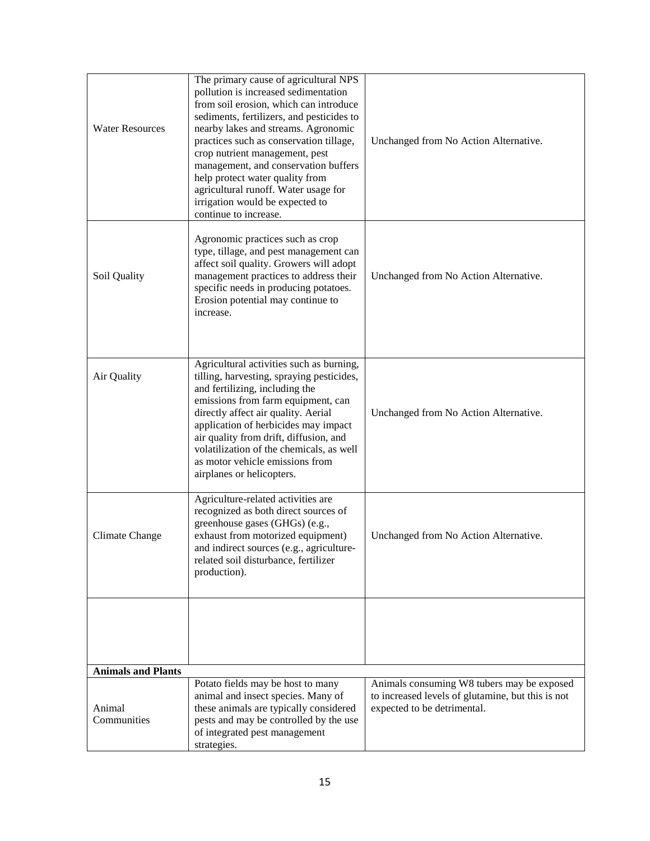| <b>Water Resources</b>    | The primary cause of agricultural NPS<br>pollution is increased sedimentation<br>from soil erosion, which can introduce<br>sediments, fertilizers, and pesticides to<br>nearby lakes and streams. Agronomic<br>practices such as conservation tillage,<br>crop nutrient management, pest<br>management, and conservation buffers<br>help protect water quality from<br>agricultural runoff. Water usage for<br>irrigation would be expected to<br>continue to increase. | Unchanged from No Action Alternative.                                                                                          |
|---------------------------|-------------------------------------------------------------------------------------------------------------------------------------------------------------------------------------------------------------------------------------------------------------------------------------------------------------------------------------------------------------------------------------------------------------------------------------------------------------------------|--------------------------------------------------------------------------------------------------------------------------------|
| Soil Quality              | Agronomic practices such as crop<br>type, tillage, and pest management can<br>affect soil quality. Growers will adopt<br>management practices to address their<br>specific needs in producing potatoes.<br>Erosion potential may continue to<br>increase.                                                                                                                                                                                                               | Unchanged from No Action Alternative.                                                                                          |
| Air Quality               | Agricultural activities such as burning,<br>tilling, harvesting, spraying pesticides,<br>and fertilizing, including the<br>emissions from farm equipment, can<br>directly affect air quality. Aerial<br>application of herbicides may impact<br>air quality from drift, diffusion, and<br>volatilization of the chemicals, as well<br>as motor vehicle emissions from<br>airplanes or helicopters.                                                                      | Unchanged from No Action Alternative.                                                                                          |
| Climate Change            | Agriculture-related activities are<br>recognized as both direct sources of<br>greenhouse gases (GHGs) (e.g.,<br>exhaust from motorized equipment)<br>and indirect sources (e.g., agriculture-<br>related soil disturbance, fertilizer<br>production).                                                                                                                                                                                                                   | Unchanged from No Action Alternative.                                                                                          |
|                           |                                                                                                                                                                                                                                                                                                                                                                                                                                                                         |                                                                                                                                |
| <b>Animals and Plants</b> |                                                                                                                                                                                                                                                                                                                                                                                                                                                                         |                                                                                                                                |
| Animal<br>Communities     | Potato fields may be host to many<br>animal and insect species. Many of<br>these animals are typically considered<br>pests and may be controlled by the use<br>of integrated pest management<br>strategies.                                                                                                                                                                                                                                                             | Animals consuming W8 tubers may be exposed<br>to increased levels of glutamine, but this is not<br>expected to be detrimental. |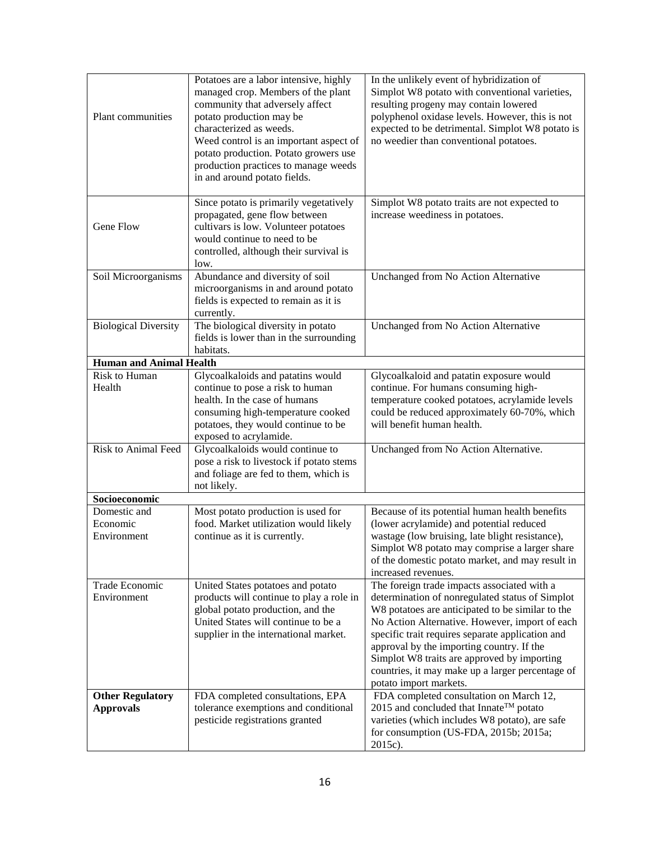| Plant communities                           | Potatoes are a labor intensive, highly<br>managed crop. Members of the plant<br>community that adversely affect<br>potato production may be<br>characterized as weeds.<br>Weed control is an important aspect of<br>potato production. Potato growers use<br>production practices to manage weeds<br>in and around potato fields. | In the unlikely event of hybridization of<br>Simplot W8 potato with conventional varieties,<br>resulting progeny may contain lowered<br>polyphenol oxidase levels. However, this is not<br>expected to be detrimental. Simplot W8 potato is<br>no weedier than conventional potatoes.                                                                                                                                              |
|---------------------------------------------|-----------------------------------------------------------------------------------------------------------------------------------------------------------------------------------------------------------------------------------------------------------------------------------------------------------------------------------|------------------------------------------------------------------------------------------------------------------------------------------------------------------------------------------------------------------------------------------------------------------------------------------------------------------------------------------------------------------------------------------------------------------------------------|
| Gene Flow                                   | Since potato is primarily vegetatively<br>propagated, gene flow between<br>cultivars is low. Volunteer potatoes<br>would continue to need to be<br>controlled, although their survival is<br>low.                                                                                                                                 | Simplot W8 potato traits are not expected to<br>increase weediness in potatoes.                                                                                                                                                                                                                                                                                                                                                    |
| Soil Microorganisms                         | Abundance and diversity of soil<br>microorganisms in and around potato<br>fields is expected to remain as it is<br>currently.                                                                                                                                                                                                     | Unchanged from No Action Alternative                                                                                                                                                                                                                                                                                                                                                                                               |
| <b>Biological Diversity</b>                 | The biological diversity in potato<br>fields is lower than in the surrounding<br>habitats.                                                                                                                                                                                                                                        | Unchanged from No Action Alternative                                                                                                                                                                                                                                                                                                                                                                                               |
| <b>Human and Animal Health</b>              |                                                                                                                                                                                                                                                                                                                                   |                                                                                                                                                                                                                                                                                                                                                                                                                                    |
| <b>Risk to Human</b>                        | Glycoalkaloids and patatins would                                                                                                                                                                                                                                                                                                 | Glycoalkaloid and patatin exposure would                                                                                                                                                                                                                                                                                                                                                                                           |
| Health                                      | continue to pose a risk to human<br>health. In the case of humans<br>consuming high-temperature cooked<br>potatoes, they would continue to be<br>exposed to acrylamide.                                                                                                                                                           | continue. For humans consuming high-<br>temperature cooked potatoes, acrylamide levels<br>could be reduced approximately 60-70%, which<br>will benefit human health.                                                                                                                                                                                                                                                               |
| <b>Risk to Animal Feed</b>                  | Glycoalkaloids would continue to<br>pose a risk to livestock if potato stems<br>and foliage are fed to them, which is<br>not likely.                                                                                                                                                                                              | Unchanged from No Action Alternative.                                                                                                                                                                                                                                                                                                                                                                                              |
| Socioeconomic                               |                                                                                                                                                                                                                                                                                                                                   |                                                                                                                                                                                                                                                                                                                                                                                                                                    |
| Domestic and                                | Most potato production is used for                                                                                                                                                                                                                                                                                                | Because of its potential human health benefits                                                                                                                                                                                                                                                                                                                                                                                     |
| Economic<br>Environment                     | food. Market utilization would likely<br>continue as it is currently.                                                                                                                                                                                                                                                             | (lower acrylamide) and potential reduced<br>wastage (low bruising, late blight resistance),                                                                                                                                                                                                                                                                                                                                        |
|                                             |                                                                                                                                                                                                                                                                                                                                   | Simplot W8 potato may comprise a larger share<br>of the domestic potato market, and may result in<br>increased revenues.                                                                                                                                                                                                                                                                                                           |
| Trade Economic<br>Environment               | United States potatoes and potato<br>products will continue to play a role in<br>global potato production, and the<br>United States will continue to be a<br>supplier in the international market.                                                                                                                                | The foreign trade impacts associated with a<br>determination of nonregulated status of Simplot<br>W8 potatoes are anticipated to be similar to the<br>No Action Alternative. However, import of each<br>specific trait requires separate application and<br>approval by the importing country. If the<br>Simplot W8 traits are approved by importing<br>countries, it may make up a larger percentage of<br>potato import markets. |
| <b>Other Regulatory</b><br><b>Approvals</b> | FDA completed consultations, EPA<br>tolerance exemptions and conditional<br>pesticide registrations granted                                                                                                                                                                                                                       | FDA completed consultation on March 12,<br>2015 and concluded that Innate <sup>TM</sup> potato<br>varieties (which includes W8 potato), are safe<br>for consumption (US-FDA, 2015b; 2015a;<br>2015c).                                                                                                                                                                                                                              |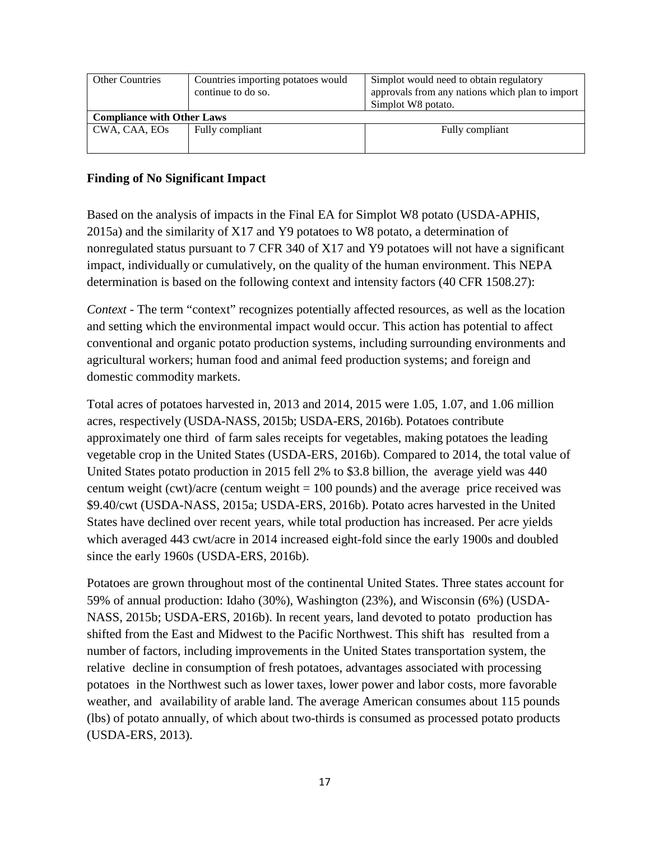| <b>Other Countries</b>            | Countries importing potatoes would<br>continue to do so. | Simplot would need to obtain regulatory<br>approvals from any nations which plan to import<br>Simplot W8 potato. |  |  |
|-----------------------------------|----------------------------------------------------------|------------------------------------------------------------------------------------------------------------------|--|--|
| <b>Compliance with Other Laws</b> |                                                          |                                                                                                                  |  |  |
| CWA, CAA, EOs                     | Fully compliant                                          | Fully compliant                                                                                                  |  |  |

#### **Finding of No Significant Impact**

Based on the analysis of impacts in the Final EA for Simplot W8 potato [\(USDA-APHIS,](#page-25-0)  [2015a\)](#page-25-0) and the similarity of X17 and Y9 potatoes to W8 potato, a determination of nonregulated status pursuant to 7 CFR 340 of X17 and Y9 potatoes will not have a significant impact, individually or cumulatively, on the quality of the human environment. This NEPA determination is based on the following context and intensity factors (40 CFR 1508.27):

*Context* - The term "context" recognizes potentially affected resources, as well as the location and setting which the environmental impact would occur. This action has potential to affect conventional and organic potato production systems, including surrounding environments and agricultural workers; human food and animal feed production systems; and foreign and domestic commodity markets.

Total acres of potatoes harvested in, 2013 and 2014, 2015 were 1.05, 1.07, and 1.06 million acres, respectively [\(USDA-NASS, 2015b;](#page-26-2) [USDA-ERS, 2016b\)](#page-26-1). Potatoes contribute approximately one third of farm sales receipts for vegetables, making potatoes the leading vegetable crop in the United States [\(USDA-ERS, 2016b\)](#page-26-1). Compared to 2014, the total value of United States potato production in 2015 fell 2% to \$3.8 billion, the average yield was 440 centum weight (cwt)/acre (centum weight  $= 100$  pounds) and the average price received was \$9.40/cwt [\(USDA-NASS, 2015a;](#page-26-3) [USDA-ERS, 2016b\)](#page-26-1). Potato acres harvested in the United States have declined over recent years, while total production has increased. Per acre yields which averaged 443 cwt/acre in 2014 increased eight-fold since the early 1900s and doubled since the early 1960s [\(USDA-ERS, 2016b\)](#page-26-1).

Potatoes are grown throughout most of the continental United States. Three states account for 59% of annual production: Idaho (30%), Washington (23%), and Wisconsin (6%) [\(USDA-](#page-26-2)[NASS, 2015b;](#page-26-2) [USDA-ERS, 2016b\)](#page-26-1). In recent years, land devoted to potato production has shifted from the East and Midwest to the Pacific Northwest. This shift has resulted from a number of factors, including improvements in the United States transportation system, the relative decline in consumption of fresh potatoes, advantages associated with processing potatoes in the Northwest such as lower taxes, lower power and labor costs, more favorable weather, and availability of arable land. The average American consumes about 115 pounds (lbs) of potato annually, of which about two-thirds is consumed as processed potato products [\(USDA-ERS, 2013\)](#page-26-4).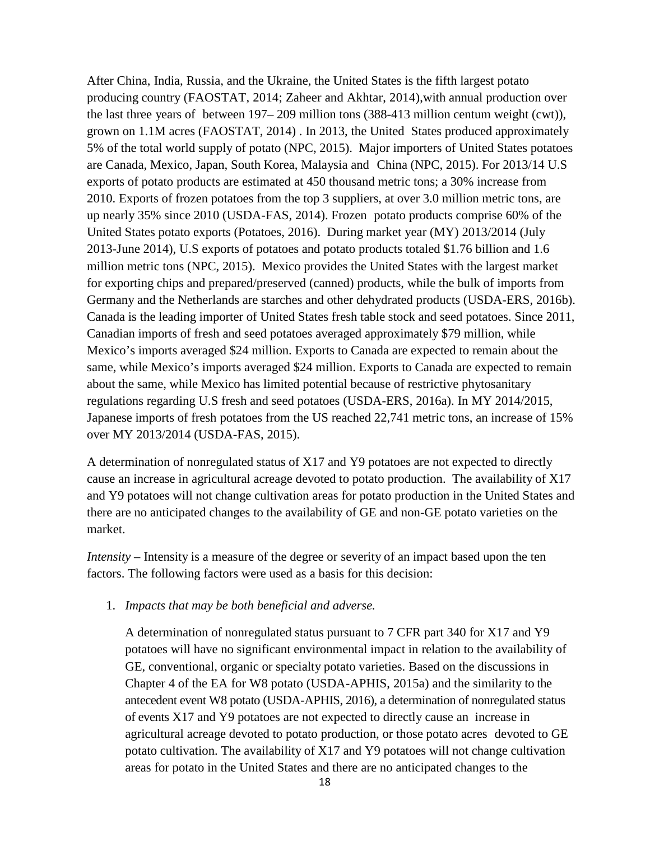After China, India, Russia, and the Ukraine, the United States is the fifth largest potato producing country [\(FAOSTAT, 2014;](#page-24-8) [Zaheer and Akhtar, 2014\)](#page-26-5),with annual production over the last three years of between 197– 209 million tons (388-413 million centum weight (cwt)), grown on 1.1M acres [\(FAOSTAT, 2014\)](#page-24-8) . In 2013, the United States produced approximately 5% of the total world supply of potato [\(NPC, 2015\)](#page-24-9). Major importers of United States potatoes are Canada, Mexico, Japan, South Korea, Malaysia and China [\(NPC, 2015\)](#page-24-9). For 2013/14 U.S exports of potato products are estimated at 450 thousand metric tons; a 30% increase from 2010. Exports of frozen potatoes from the top 3 suppliers, at over 3.0 million metric tons, are up nearly 35% since 2010 [\(USDA-FAS, 2014\)](#page-26-6). Frozen potato products comprise 60% of the United States potato exports [\(Potatoes, 2016\)](#page-24-10). During market year (MY) 2013/2014 (July 2013-June 2014), U.S exports of potatoes and potato products totaled \$1.76 billion and 1.6 million metric tons [\(NPC, 2015\)](#page-24-9). Mexico provides the United States with the largest market for exporting chips and prepared/preserved (canned) products, while the bulk of imports from Germany and the Netherlands are starches and other dehydrated products [\(USDA-ERS, 2016b\)](#page-26-1). Canada is the leading importer of United States fresh table stock and seed potatoes. Since 2011, Canadian imports of fresh and seed potatoes averaged approximately \$79 million, while Mexico's imports averaged \$24 million. Exports to Canada are expected to remain about the same, while Mexico's imports averaged \$24 million. Exports to Canada are expected to remain about the same, while Mexico has limited potential because of restrictive phytosanitary regulations regarding U.S fresh and seed potatoes [\(USDA-ERS, 2016a\)](#page-26-7). In MY 2014/2015, Japanese imports of fresh potatoes from the US reached 22,741 metric tons, an increase of 15% over MY 2013/2014 [\(USDA-FAS, 2015\)](#page-26-8).

A determination of nonregulated status of X17 and Y9 potatoes are not expected to directly cause an increase in agricultural acreage devoted to potato production. The availability of X17 and Y9 potatoes will not change cultivation areas for potato production in the United States and there are no anticipated changes to the availability of GE and non-GE potato varieties on the market.

*Intensity* – Intensity is a measure of the degree or severity of an impact based upon the ten factors. The following factors were used as a basis for this decision:

#### 1. *Impacts that may be both beneficial and adverse.*

A determination of nonregulated status pursuant to 7 CFR part 340 for X17 and Y9 potatoes will have no significant environmental impact in relation to the availability of GE, conventional, organic or specialty potato varieties. Based on the discussions in Chapter 4 of the EA for W8 potato [\(USDA-APHIS, 2015a\)](#page-25-0) and the similarity to the antecedent event W8 potato [\(USDA-APHIS, 2016\)](#page-26-0), a determination of nonregulated status of events X17 and Y9 potatoes are not expected to directly cause an increase in agricultural acreage devoted to potato production, or those potato acres devoted to GE potato cultivation. The availability of X17 and Y9 potatoes will not change cultivation areas for potato in the United States and there are no anticipated changes to the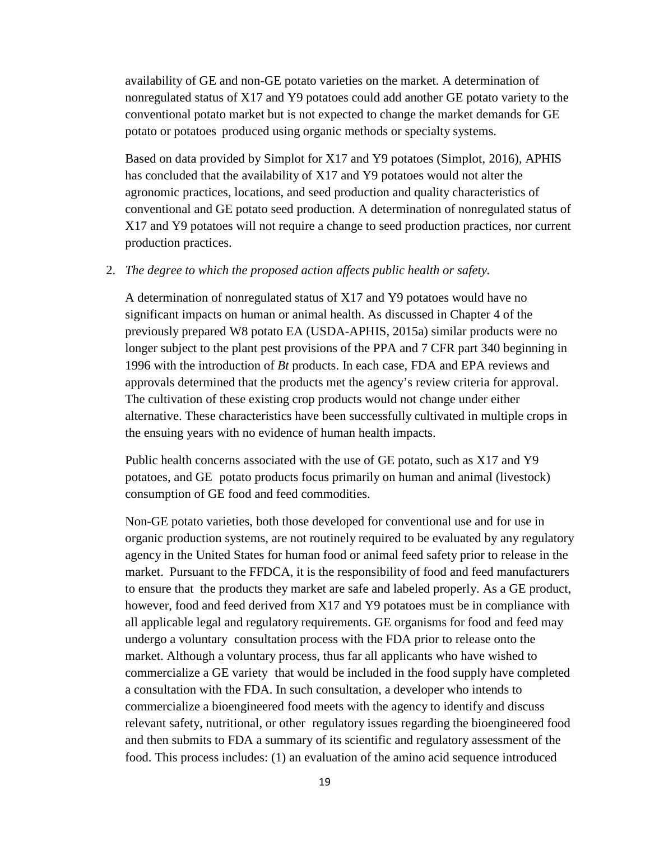availability of GE and non-GE potato varieties on the market. A determination of nonregulated status of X17 and Y9 potatoes could add another GE potato variety to the conventional potato market but is not expected to change the market demands for GE potato or potatoes produced using organic methods or specialty systems.

Based on data provided by Simplot for X17 and Y9 potatoes [\(Simplot, 2016\)](#page-24-0), APHIS has concluded that the availability of X17 and Y9 potatoes would not alter the agronomic practices, locations, and seed production and quality characteristics of conventional and GE potato seed production. A determination of nonregulated status of X17 and Y9 potatoes will not require a change to seed production practices, nor current production practices.

#### 2. *The degree to which the proposed action affects public health or safety.*

A determination of nonregulated status of X17 and Y9 potatoes would have no significant impacts on human or animal health. As discussed in Chapter 4 of the previously prepared W8 potato EA [\(USDA-APHIS, 2015a\)](#page-25-0) similar products were no longer subject to the plant pest provisions of the PPA and 7 CFR part 340 beginning in 1996 with the introduction of *Bt* products. In each case, FDA and EPA reviews and approvals determined that the products met the agency's review criteria for approval. The cultivation of these existing crop products would not change under either alternative. These characteristics have been successfully cultivated in multiple crops in the ensuing years with no evidence of human health impacts.

Public health concerns associated with the use of GE potato, such as X17 and Y9 potatoes, and GE potato products focus primarily on human and animal (livestock) consumption of GE food and feed commodities.

Non-GE potato varieties, both those developed for conventional use and for use in organic production systems, are not routinely required to be evaluated by any regulatory agency in the United States for human food or animal feed safety prior to release in the market. Pursuant to the FFDCA, it is the responsibility of food and feed manufacturers to ensure that the products they market are safe and labeled properly. As a GE product, however, food and feed derived from X17 and Y9 potatoes must be in compliance with all applicable legal and regulatory requirements. GE organisms for food and feed may undergo a voluntary consultation process with the FDA prior to release onto the market. Although a voluntary process, thus far all applicants who have wished to commercialize a GE variety that would be included in the food supply have completed a consultation with the FDA. In such consultation, a developer who intends to commercialize a bioengineered food meets with the agency to identify and discuss relevant safety, nutritional, or other regulatory issues regarding the bioengineered food and then submits to FDA a summary of its scientific and regulatory assessment of the food. This process includes: (1) an evaluation of the amino acid sequence introduced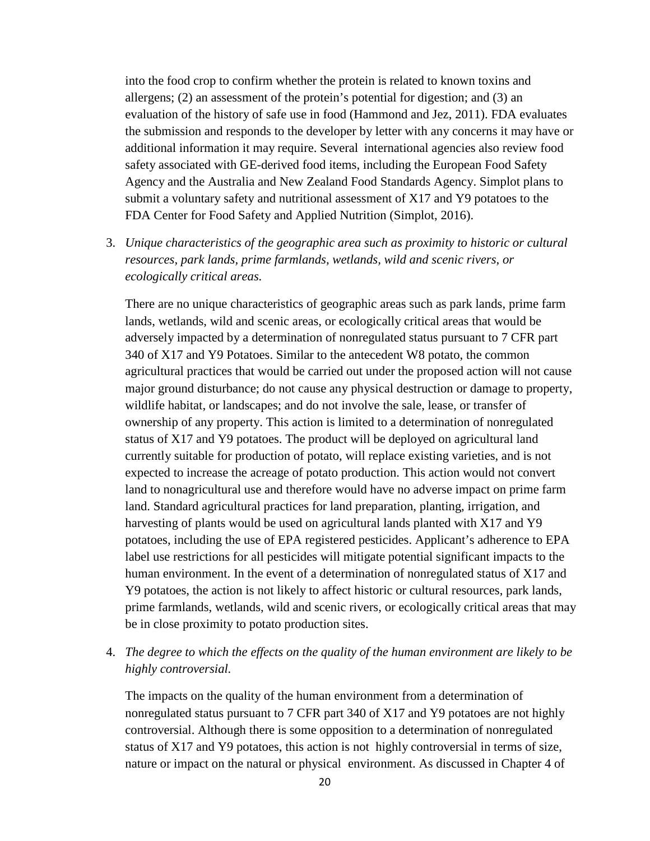into the food crop to confirm whether the protein is related to known toxins and allergens; (2) an assessment of the protein's potential for digestion; and (3) an evaluation of the history of safe use in food [\(Hammond and Jez, 2011\)](#page-24-11). FDA evaluates the submission and responds to the developer by letter with any concerns it may have or additional information it may require. Several international agencies also review food safety associated with GE-derived food items, including the European Food Safety Agency and the Australia and New Zealand Food Standards Agency. Simplot plans to submit a voluntary safety and nutritional assessment of X17 and Y9 potatoes to the FDA Center for Food Safety and Applied Nutrition [\(Simplot, 2016\)](#page-24-0).

3. *Unique characteristics of the geographic area such as proximity to historic or cultural resources, park lands, prime farmlands, wetlands, wild and scenic rivers, or ecologically critical areas.*

There are no unique characteristics of geographic areas such as park lands, prime farm lands, wetlands, wild and scenic areas, or ecologically critical areas that would be adversely impacted by a determination of nonregulated status pursuant to 7 CFR part 340 of X17 and Y9 Potatoes. Similar to the antecedent W8 potato, the common agricultural practices that would be carried out under the proposed action will not cause major ground disturbance; do not cause any physical destruction or damage to property, wildlife habitat, or landscapes; and do not involve the sale, lease, or transfer of ownership of any property. This action is limited to a determination of nonregulated status of X17 and Y9 potatoes. The product will be deployed on agricultural land currently suitable for production of potato, will replace existing varieties, and is not expected to increase the acreage of potato production. This action would not convert land to nonagricultural use and therefore would have no adverse impact on prime farm land. Standard agricultural practices for land preparation, planting, irrigation, and harvesting of plants would be used on agricultural lands planted with X17 and Y9 potatoes, including the use of EPA registered pesticides. Applicant's adherence to EPA label use restrictions for all pesticides will mitigate potential significant impacts to the human environment. In the event of a determination of nonregulated status of X17 and Y9 potatoes, the action is not likely to affect historic or cultural resources, park lands, prime farmlands, wetlands, wild and scenic rivers, or ecologically critical areas that may be in close proximity to potato production sites.

4. *The degree to which the effects on the quality of the human environment are likely to be highly controversial.*

The impacts on the quality of the human environment from a determination of nonregulated status pursuant to 7 CFR part 340 of X17 and Y9 potatoes are not highly controversial. Although there is some opposition to a determination of nonregulated status of X17 and Y9 potatoes, this action is not highly controversial in terms of size, nature or impact on the natural or physical environment. As discussed in Chapter 4 of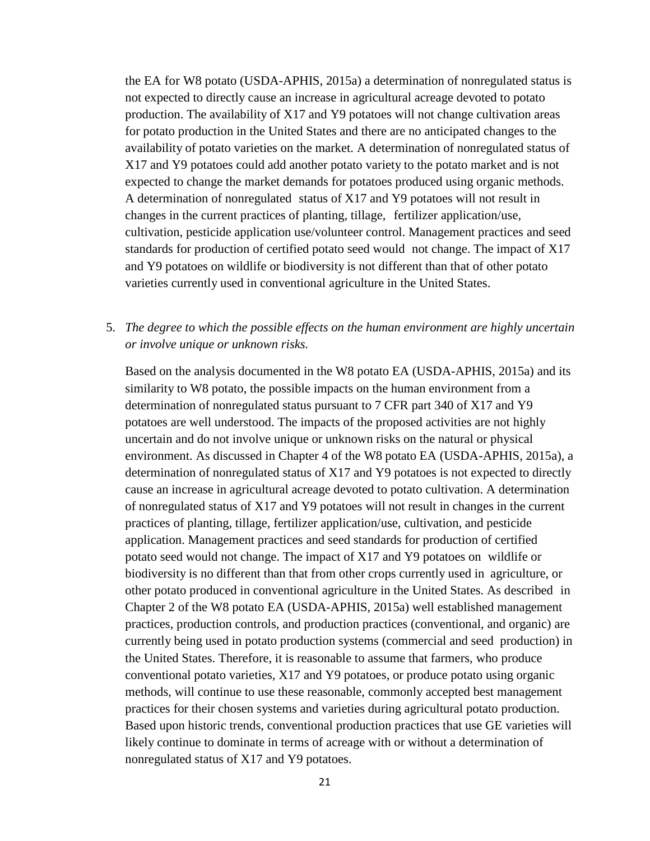the EA for W8 potato [\(USDA-APHIS, 2015a\)](#page-25-0) a determination of nonregulated status is not expected to directly cause an increase in agricultural acreage devoted to potato production. The availability of X17 and Y9 potatoes will not change cultivation areas for potato production in the United States and there are no anticipated changes to the availability of potato varieties on the market. A determination of nonregulated status of X17 and Y9 potatoes could add another potato variety to the potato market and is not expected to change the market demands for potatoes produced using organic methods. A determination of nonregulated status of X17 and Y9 potatoes will not result in changes in the current practices of planting, tillage, fertilizer application/use, cultivation, pesticide application use/volunteer control. Management practices and seed standards for production of certified potato seed would not change. The impact of X17 and Y9 potatoes on wildlife or biodiversity is not different than that of other potato varieties currently used in conventional agriculture in the United States.

5. *The degree to which the possible effects on the human environment are highly uncertain or involve unique or unknown risks.*

Based on the analysis documented in the W8 potato EA [\(USDA-APHIS, 2015a\)](#page-25-0) and its similarity to W8 potato, the possible impacts on the human environment from a determination of nonregulated status pursuant to 7 CFR part 340 of X17 and Y9 potatoes are well understood. The impacts of the proposed activities are not highly uncertain and do not involve unique or unknown risks on the natural or physical environment. As discussed in Chapter 4 of the W8 potato EA [\(USDA-APHIS, 2015a\)](#page-25-0), a determination of nonregulated status of X17 and Y9 potatoes is not expected to directly cause an increase in agricultural acreage devoted to potato cultivation. A determination of nonregulated status of X17 and Y9 potatoes will not result in changes in the current practices of planting, tillage, fertilizer application/use, cultivation, and pesticide application. Management practices and seed standards for production of certified potato seed would not change. The impact of X17 and Y9 potatoes on wildlife or biodiversity is no different than that from other crops currently used in agriculture, or other potato produced in conventional agriculture in the United States. As described in Chapter 2 of the W8 potato EA [\(USDA-APHIS, 2015a\)](#page-25-0) well established management practices, production controls, and production practices (conventional, and organic) are currently being used in potato production systems (commercial and seed production) in the United States. Therefore, it is reasonable to assume that farmers, who produce conventional potato varieties, X17 and Y9 potatoes, or produce potato using organic methods, will continue to use these reasonable, commonly accepted best management practices for their chosen systems and varieties during agricultural potato production. Based upon historic trends, conventional production practices that use GE varieties will likely continue to dominate in terms of acreage with or without a determination of nonregulated status of X17 and Y9 potatoes.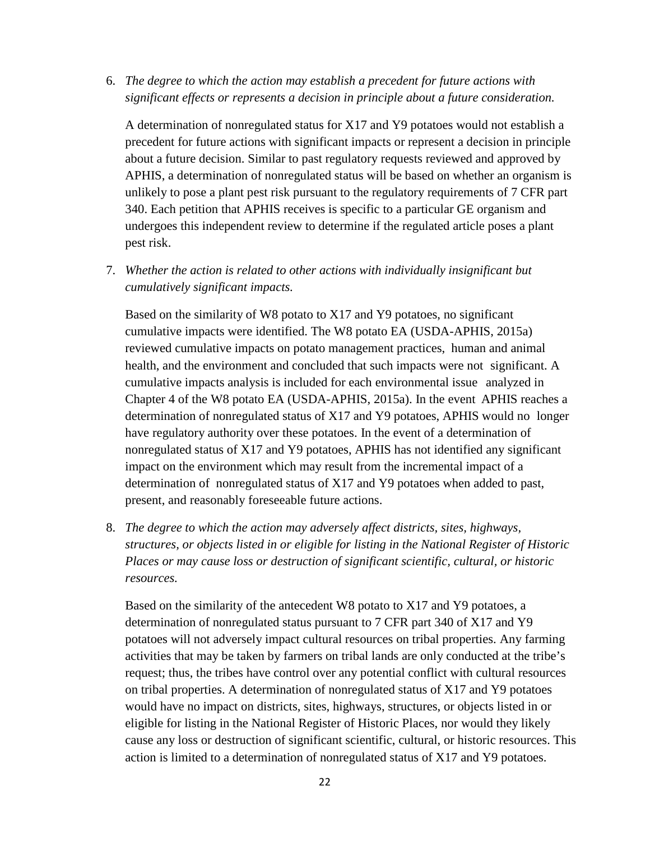6. *The degree to which the action may establish a precedent for future actions with significant effects or represents a decision in principle about a future consideration.*

A determination of nonregulated status for X17 and Y9 potatoes would not establish a precedent for future actions with significant impacts or represent a decision in principle about a future decision. Similar to past regulatory requests reviewed and approved by APHIS, a determination of nonregulated status will be based on whether an organism is unlikely to pose a plant pest risk pursuant to the regulatory requirements of 7 CFR part 340. Each petition that APHIS receives is specific to a particular GE organism and undergoes this independent review to determine if the regulated article poses a plant pest risk.

7. *Whether the action is related to other actions with individually insignificant but cumulatively significant impacts.* 

Based on the similarity of W8 potato to X17 and Y9 potatoes, no significant cumulative impacts were identified. The W8 potato EA [\(USDA-APHIS, 2015a\)](#page-25-0) reviewed cumulative impacts on potato management practices, human and animal health, and the environment and concluded that such impacts were not significant. A cumulative impacts analysis is included for each environmental issue analyzed in Chapter 4 of the W8 potato EA [\(USDA-APHIS, 2015a\)](#page-25-0). In the event APHIS reaches a determination of nonregulated status of X17 and Y9 potatoes, APHIS would no longer have regulatory authority over these potatoes. In the event of a determination of nonregulated status of X17 and Y9 potatoes, APHIS has not identified any significant impact on the environment which may result from the incremental impact of a determination of nonregulated status of X17 and Y9 potatoes when added to past, present, and reasonably foreseeable future actions.

8. *The degree to which the action may adversely affect districts, sites, highways, structures, or objects listed in or eligible for listing in the National Register of Historic Places or may cause loss or destruction of significant scientific, cultural, or historic resources.*

Based on the similarity of the antecedent W8 potato to X17 and Y9 potatoes, a determination of nonregulated status pursuant to 7 CFR part 340 of X17 and Y9 potatoes will not adversely impact cultural resources on tribal properties. Any farming activities that may be taken by farmers on tribal lands are only conducted at the tribe's request; thus, the tribes have control over any potential conflict with cultural resources on tribal properties. A determination of nonregulated status of X17 and Y9 potatoes would have no impact on districts, sites, highways, structures, or objects listed in or eligible for listing in the National Register of Historic Places, nor would they likely cause any loss or destruction of significant scientific, cultural, or historic resources. This action is limited to a determination of nonregulated status of X17 and Y9 potatoes.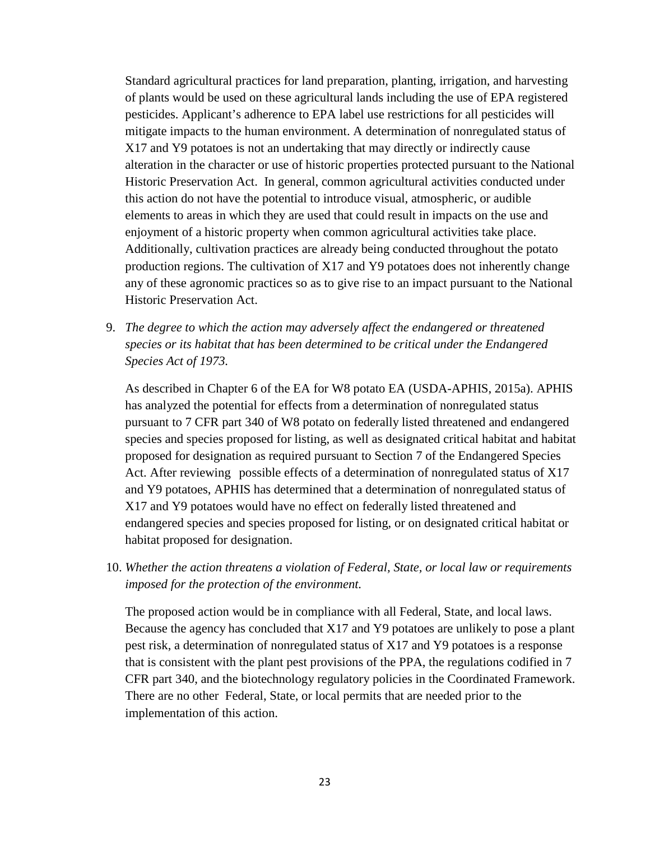Standard agricultural practices for land preparation, planting, irrigation, and harvesting of plants would be used on these agricultural lands including the use of EPA registered pesticides. Applicant's adherence to EPA label use restrictions for all pesticides will mitigate impacts to the human environment. A determination of nonregulated status of X17 and Y9 potatoes is not an undertaking that may directly or indirectly cause alteration in the character or use of historic properties protected pursuant to the National Historic Preservation Act. In general, common agricultural activities conducted under this action do not have the potential to introduce visual, atmospheric, or audible elements to areas in which they are used that could result in impacts on the use and enjoyment of a historic property when common agricultural activities take place. Additionally, cultivation practices are already being conducted throughout the potato production regions. The cultivation of X17 and Y9 potatoes does not inherently change any of these agronomic practices so as to give rise to an impact pursuant to the National Historic Preservation Act.

9. *The degree to which the action may adversely affect the endangered or threatened species or its habitat that has been determined to be critical under the Endangered Species Act of 1973.* 

As described in Chapter 6 of the EA for W8 potato EA [\(USDA-APHIS, 2015a\)](#page-25-0). APHIS has analyzed the potential for effects from a determination of nonregulated status pursuant to 7 CFR part 340 of W8 potato on federally listed threatened and endangered species and species proposed for listing, as well as designated critical habitat and habitat proposed for designation as required pursuant to Section 7 of the Endangered Species Act. After reviewing possible effects of a determination of nonregulated status of X17 and Y9 potatoes, APHIS has determined that a determination of nonregulated status of X17 and Y9 potatoes would have no effect on federally listed threatened and endangered species and species proposed for listing, or on designated critical habitat or habitat proposed for designation.

10. *Whether the action threatens a violation of Federal, State, or local law or requirements imposed for the protection of the environment.*

The proposed action would be in compliance with all Federal, State, and local laws. Because the agency has concluded that X17 and Y9 potatoes are unlikely to pose a plant pest risk, a determination of nonregulated status of X17 and Y9 potatoes is a response that is consistent with the plant pest provisions of the PPA, the regulations codified in 7 CFR part 340, and the biotechnology regulatory policies in the Coordinated Framework. There are no other Federal, State, or local permits that are needed prior to the implementation of this action.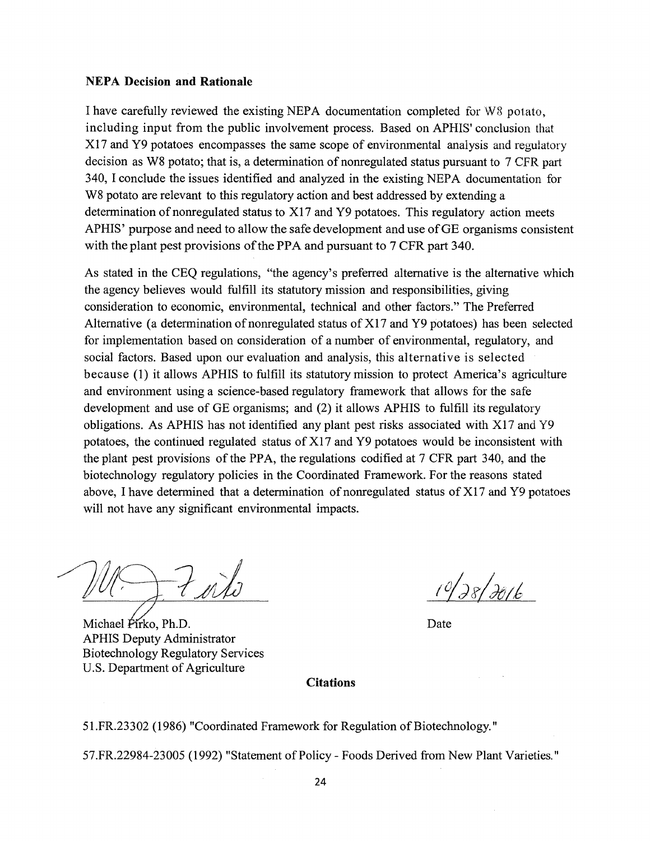#### **NEPA Decision and Rationale**

I have carefully reviewed the existing NEPA documentation completed for W8 potato, including input from the public involvement process. Based on APHIS' conclusion that X17 and Y9 potatoes encompasses the same scope of environmental analysis and regulatory decision as W8 potato; that is, a determination of nonregulated status pursuant to 7 CFR part 340, I conclude the issues identified and analyzed in the existing NEPA documentation for W8 potato are relevant to this regulatory action and best addressed by extending a determination of nonregulated status to  $X17$  and  $Y9$  potatoes. This regulatory action meets AP HIS' purpose and need to allow the safe development and use of GE organisms consistent with the plant pest provisions of the PPA and pursuant to 7 CFR part 340.

As stated in the CEQ regulations, "the agency's preferred alternative is the alternative which the agency believes would fulfill its statutory mission and responsibilities, giving consideration to economic, environmental, technical and other factors." The Preferred Alternative (a determination of nonregulated status of  $X17$  and  $Y9$  potatoes) has been selected for implementation based on consideration of a number of environmental, regulatory, and social factors. Based upon our evaluation and analysis, this alternative is selected because (1) it allows APHIS to fulfill its statutory mission to protect America's agriculture and environment using a science-based regulatory framework that allows for the safe development and use of GE organisms; and (2) it allows APHIS to fulfill its regulatory obligations. As APHIS has not identified any plant pest risks associated with X17 and Y9 potatoes, the continued regulated status of Xl 7 and Y9 potatoes would be inconsistent with the plant pest provisions of the PPA, the regulations codified at 7 CFR part 340, and the biotechnology regulatory policies in the Coordinated Framework. For the reasons stated above, I have determined that a determination of nonregulated status of  $X17$  and  $Y9$  potatoes will not have any significant environmental impacts.

Michael Pirko, Ph.D. APHIS Deputy Administrator Biotechnology Regulatory Services U.S. Department of Agriculture

 $10/28/2016$ 

Date

#### **Citations**

51.FR.23302 (1986) "Coordinated Framework for Regulation of Biotechnology."

57.FR.22984-23005 (1992) "Statement of Policy - Foods Derived from New Plant Varieties."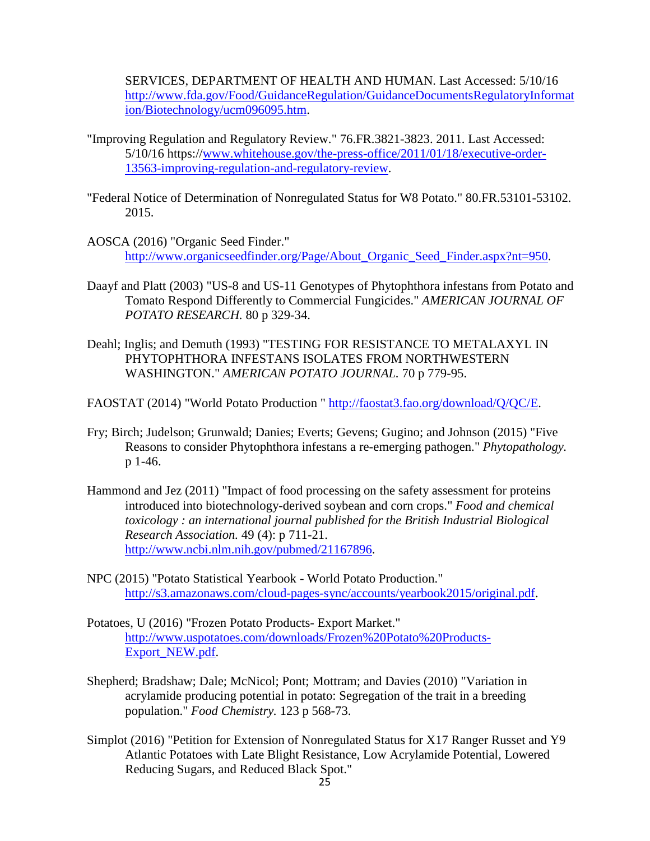SERVICES, DEPARTMENT OF HEALTH AND HUMAN. Last Accessed: 5/10/16 [http://www.fda.gov/Food/GuidanceRegulation/GuidanceDocumentsRegulatoryInformat](http://www.fda.gov/Food/GuidanceRegulation/GuidanceDocumentsRegulatoryInformation/Biotechnology/ucm096095.htm) [ion/Biotechnology/ucm096095.htm.](http://www.fda.gov/Food/GuidanceRegulation/GuidanceDocumentsRegulatoryInformation/Biotechnology/ucm096095.htm)

- <span id="page-24-6"></span>"Improving Regulation and Regulatory Review." 76.FR.3821-3823. 2011. Last Accessed: 5/10/16 https:/[/www.whitehouse.gov/the-press-office/2011/01/18/executive-order-](http://www.whitehouse.gov/the-press-office/2011/01/18/executive-order-13563-improving-regulation-and-regulatory-review)[13563-improving-regulation-and-regulatory-review.](http://www.whitehouse.gov/the-press-office/2011/01/18/executive-order-13563-improving-regulation-and-regulatory-review)
- <span id="page-24-1"></span>"Federal Notice of Determination of Nonregulated Status for W8 Potato." 80.FR.53101-53102. 2015.
- <span id="page-24-7"></span>AOSCA (2016) "Organic Seed Finder." [http://www.organicseedfinder.org/Page/About\\_Organic\\_Seed\\_Finder.aspx?nt=950.](http://www.organicseedfinder.org/Page/About_Organic_Seed_Finder.aspx?nt=950)
- <span id="page-24-4"></span>Daayf and Platt (2003) "US-8 and US-11 Genotypes of Phytophthora infestans from Potato and Tomato Respond Differently to Commercial Fungicides." *AMERICAN JOURNAL OF POTATO RESEARCH.* 80 p 329-34.
- <span id="page-24-3"></span>Deahl; Inglis; and Demuth (1993) "TESTING FOR RESISTANCE TO METALAXYL IN PHYTOPHTHORA INFESTANS ISOLATES FROM NORTHWESTERN WASHINGTON." *AMERICAN POTATO JOURNAL.* 70 p 779-95.

<span id="page-24-8"></span>FAOSTAT (2014) "World Potato Production " [http://faostat3.fao.org/download/Q/QC/E.](http://faostat3.fao.org/download/Q/QC/E)

- <span id="page-24-5"></span>Fry; Birch; Judelson; Grunwald; Danies; Everts; Gevens; Gugino; and Johnson (2015) "Five Reasons to consider Phytophthora infestans a re-emerging pathogen." *Phytopathology.*  p 1-46.
- <span id="page-24-11"></span>Hammond and Jez (2011) "Impact of food processing on the safety assessment for proteins introduced into biotechnology-derived soybean and corn crops." *Food and chemical toxicology : an international journal published for the British Industrial Biological Research Association.* 49 (4): p 711-21. [http://www.ncbi.nlm.nih.gov/pubmed/21167896.](http://www.ncbi.nlm.nih.gov/pubmed/21167896)
- <span id="page-24-9"></span>NPC (2015) "Potato Statistical Yearbook - World Potato Production." [http://s3.amazonaws.com/cloud-pages-sync/accounts/yearbook2015/original.pdf.](http://s3.amazonaws.com/cloud-pages-sync/accounts/yearbook2015/original.pdf)
- <span id="page-24-10"></span>Potatoes, U (2016) "Frozen Potato Products- Export Market." [http://www.uspotatoes.com/downloads/Frozen%20Potato%20Products-](http://www.uspotatoes.com/downloads/Frozen%20Potato%20Products-Export_NEW.pdf)[Export\\_NEW.pdf.](http://www.uspotatoes.com/downloads/Frozen%20Potato%20Products-Export_NEW.pdf)
- <span id="page-24-2"></span>Shepherd; Bradshaw; Dale; McNicol; Pont; Mottram; and Davies (2010) "Variation in acrylamide producing potential in potato: Segregation of the trait in a breeding population." *Food Chemistry.* 123 p 568-73.
- <span id="page-24-0"></span>Simplot (2016) "Petition for Extension of Nonregulated Status for X17 Ranger Russet and Y9 Atlantic Potatoes with Late Blight Resistance, Low Acrylamide Potential, Lowered Reducing Sugars, and Reduced Black Spot."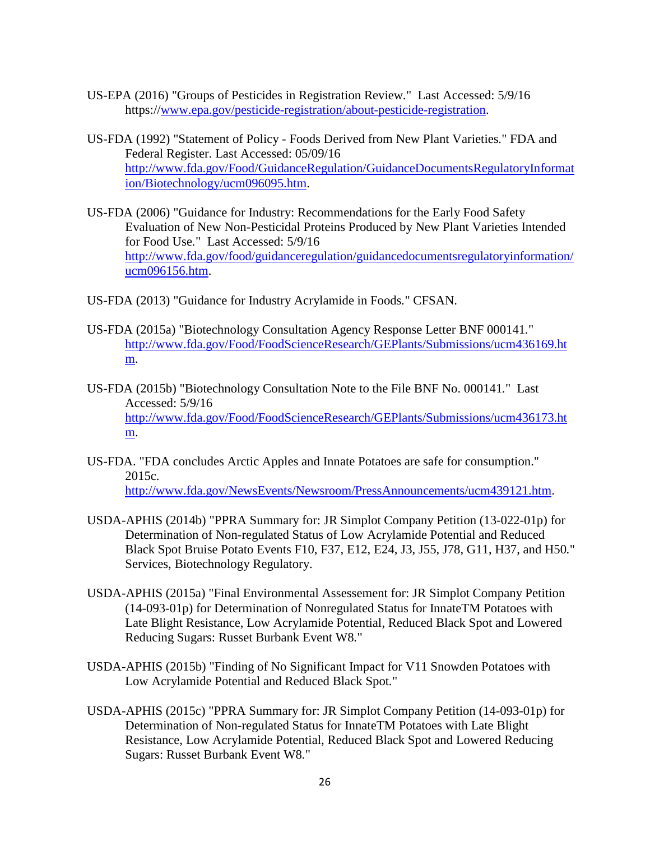- <span id="page-25-7"></span>US-EPA (2016) "Groups of Pesticides in Registration Review*.*" Last Accessed: 5/9/16 https:/[/www.epa.gov/pesticide-registration/about-pesticide-registration.](http://www.epa.gov/pesticide-registration/about-pesticide-registration)
- <span id="page-25-4"></span>US-FDA (1992) "Statement of Policy - Foods Derived from New Plant Varieties*.*" FDA and Federal Register. Last Accessed: 05/09/16 [http://www.fda.gov/Food/GuidanceRegulation/GuidanceDocumentsRegulatoryInformat](http://www.fda.gov/Food/GuidanceRegulation/GuidanceDocumentsRegulatoryInformation/Biotechnology/ucm096095.htm) [ion/Biotechnology/ucm096095.htm.](http://www.fda.gov/Food/GuidanceRegulation/GuidanceDocumentsRegulatoryInformation/Biotechnology/ucm096095.htm)
- <span id="page-25-6"></span>US-FDA (2006) "Guidance for Industry: Recommendations for the Early Food Safety Evaluation of New Non-Pesticidal Proteins Produced by New Plant Varieties Intended for Food Use*.*" Last Accessed: 5/9/16 [http://www.fda.gov/food/guidanceregulation/guidancedocumentsregulatoryinformation/](http://www.fda.gov/food/guidanceregulation/guidancedocumentsregulatoryinformation/ucm096156.htm) [ucm096156.htm.](http://www.fda.gov/food/guidanceregulation/guidancedocumentsregulatoryinformation/ucm096156.htm)
- <span id="page-25-5"></span>US-FDA (2013) "Guidance for Industry Acrylamide in Foods*.*" CFSAN.
- <span id="page-25-9"></span>US-FDA (2015a) "Biotechnology Consultation Agency Response Letter BNF 000141*.*" [http://www.fda.gov/Food/FoodScienceResearch/GEPlants/Submissions/ucm436169.ht](http://www.fda.gov/Food/FoodScienceResearch/GEPlants/Submissions/ucm436169.htm) [m.](http://www.fda.gov/Food/FoodScienceResearch/GEPlants/Submissions/ucm436169.htm)
- <span id="page-25-8"></span>US-FDA (2015b) "Biotechnology Consultation Note to the File BNF No. 000141*.*" Last Accessed: 5/9/16 [http://www.fda.gov/Food/FoodScienceResearch/GEPlants/Submissions/ucm436173.ht](http://www.fda.gov/Food/FoodScienceResearch/GEPlants/Submissions/ucm436173.htm) [m.](http://www.fda.gov/Food/FoodScienceResearch/GEPlants/Submissions/ucm436173.htm)
- <span id="page-25-10"></span>US-FDA. "FDA concludes Arctic Apples and Innate Potatoes are safe for consumption." 2015c. [http://www.fda.gov/NewsEvents/Newsroom/PressAnnouncements/ucm439121.htm.](http://www.fda.gov/NewsEvents/Newsroom/PressAnnouncements/ucm439121.htm)
- <span id="page-25-2"></span>USDA-APHIS (2014b) "PPRA Summary for: JR Simplot Company Petition (13-022-01p) for Determination of Non-regulated Status of Low Acrylamide Potential and Reduced Black Spot Bruise Potato Events F10, F37, E12, E24, J3, J55, J78, G11, H37, and H50*.*" Services, Biotechnology Regulatory.
- <span id="page-25-0"></span>USDA-APHIS (2015a) "Final Environmental Assessement for: JR Simplot Company Petition (14-093-01p) for Determination of Nonregulated Status for InnateTM Potatoes with Late Blight Resistance, Low Acrylamide Potential, Reduced Black Spot and Lowered Reducing Sugars: Russet Burbank Event W8*.*"
- <span id="page-25-1"></span>USDA-APHIS (2015b) "Finding of No Significant Impact for V11 Snowden Potatoes with Low Acrylamide Potential and Reduced Black Spot*.*"
- <span id="page-25-3"></span>USDA-APHIS (2015c) "PPRA Summary for: JR Simplot Company Petition (14-093-01p) for Determination of Non-regulated Status for InnateTM Potatoes with Late Blight Resistance, Low Acrylamide Potential, Reduced Black Spot and Lowered Reducing Sugars: Russet Burbank Event W8*.*"